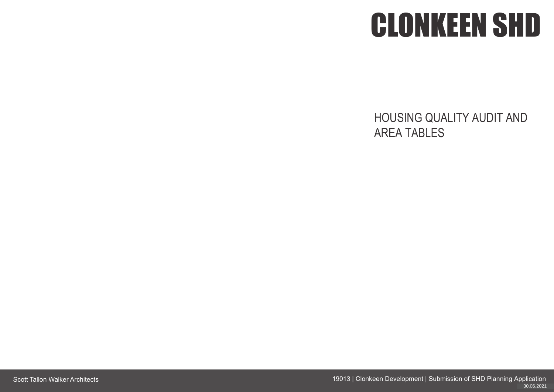Scott Tallon Walker Architects 19013 | Clonkeen Development | Submission of SHD Planning Application 16.06.2021 30.06.2021



## HOUSING QUALITY AUDIT AND AREA TABLES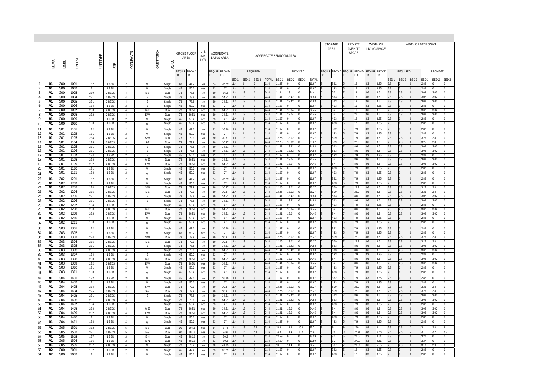|          |                |                                      |              |                   |                  |                                  |              |                  |          |                    |              |                       |                     |              |                                                    |              |                        |                |          |                | <b>STORAGE</b><br>AREA | PRIVATE<br><b>AMENITY</b>                 |            | WIDTH OF<br>LIVING SPACE |                  |                  |       | WIDTH OF BEDROOMS |             |     |
|----------|----------------|--------------------------------------|--------------|-------------------|------------------|----------------------------------|--------------|------------------|----------|--------------------|--------------|-----------------------|---------------------|--------------|----------------------------------------------------|--------------|------------------------|----------------|----------|----------------|------------------------|-------------------------------------------|------------|--------------------------|------------------|------------------|-------|-------------------|-------------|-----|
|          |                |                                      |              |                   |                  |                                  |              |                  |          | <b>GROSS FLOOR</b> | Unit         |                       | AGGREGATE           |              |                                                    |              |                        |                |          |                |                        | SPACE                                     |            |                          |                  |                  |       |                   |             |     |
|          |                |                                      | O            | TYPE              |                  |                                  |              |                  |          | AREA               | over<br>110% |                       | LIVING AREA         |              |                                                    |              | AGGREGATE BEDROOM AREA |                |          |                |                        |                                           |            |                          |                  |                  |       |                   |             |     |
|          | <b>BLOCK</b>   | FYFI                                 | İΜ           | $\overline{5}$    |                  | <b>OCCUPANTS</b>                 | ORIENTATION  | ASPECT           |          |                    |              |                       |                     |              |                                                    |              |                        |                |          |                |                        |                                           |            |                          |                  |                  |       |                   |             |     |
|          |                |                                      |              |                   | SIZE             |                                  |              |                  |          | REQUIR PROVID      |              |                       | REQUIR PROVID       |              | REQUIRED                                           |              |                        |                | PROVIDED |                |                        | REQUIR PROVID REQUIR PROVID REQUIR PROVID |            |                          |                  | REQUIRED         |       |                   | PROVIDED    |     |
|          |                |                                      |              |                   |                  |                                  |              |                  | ED       | ED                 |              | ED                    | ED                  |              |                                                    |              |                        |                |          |                | ED<br>ED               | ED<br>ED                                  | ED         | ED                       |                  |                  |       |                   |             |     |
|          |                |                                      |              |                   |                  |                                  |              |                  |          |                    |              |                       |                     | BED 1        | BED <sub>2</sub><br>BED 3                          | <b>TOTAL</b> | BED 1                  | BED 2 BED 3    |          | TOTAL          |                        |                                           |            |                          | BED <sub>1</sub> | BED <sub>2</sub> | BED 3 | BED <sub>1</sub>  | BED 2 BED 3 |     |
| 2        | A1<br>A1       | G00<br>G <sub>00</sub>               | 1001<br>1002 | 1B2<br>1B1        | 1 BED<br>1 BED   | 2<br>2                           | W<br>W       | Single<br>Single | 45<br>45 | 47.2<br>50.2       | No<br>Yes    | 23<br>23              | 26.29<br>27         | 11.4<br>11.4 |                                                    | 11.4<br>11.4 | 1.67<br>1.67           |                |          | 11.67<br>11.67 | 3.82<br>4.93           | 12<br>12                                  | 3.3<br>3.3 | 3.35<br>3.35             | 2.8<br>2.8       |                  |       | 2.82<br>2.82      |             |     |
|          | A1             | G <sub>0</sub>                       | 1003         | 2B9               | 2 BEDS           | $\overline{4}$                   | E-S          | Dual             | 73       | 78.8               | No           | 30 <sup>°</sup>       | 36.2                | 11.4         | 13                                                 | 24.4         | 11.4                   | 13.            |          | 24.4           | 6.3                    | 19                                        | 3.6        | 3.6                      | 2.8              | 2.8              |       | 3.03              | 3.03        |     |
|          | A1             | G00                                  | 1004         | 2B1               | 2 BEDS           | $\overline{4}$                   | E            | Single           | 73       | 78.8               | No           | 30 <sup>°</sup>       | 34.51               | 11.4         | 13                                                 | 24.4         | 11.41                  | 13.42          |          | 24.83          | 6.63                   | 18                                        | 3.6        | 3.6                      | 2.8              | 2.8              |       | 3.02              | 3.02        |     |
| -6       | A1<br>A1       | G00<br>GOO                           | 1005<br>1006 | 2B1<br>1B4        | 2 BEDS<br>1 BED  | $\overline{4}$<br>2              | E<br>E.      | Single<br>Single | 73<br>45 | 78.8<br>50.2       | No<br>Yes    | 30<br>23              | 34.51<br>27         | 11.4<br>11.4 | 13                                                 | 24.4<br>11.4 | 11.41<br>11.67         | 13.42          |          | 24.83<br>11.67 | 6.63<br>4.93           | 18                                        | 3.6        | 3.6<br>3.35              | 2.8<br>2.8       | 2.8              |       | 3.02<br>2.82      | 3.02        |     |
|          | A1             | G <sub>0</sub>                       | 1007         | 2B3               | 2 BEDS           | $\overline{4}$                   | W-E          | Dual             | 73       | 80.51              | Yes          | 30                    | 34.51               | 11.4         | 13                                                 | 24.4         | 11.41                  | 13.04          |          | 24.45          | 6.4                    | 16                                        | 3.6        | 3.6                      | 2.8              | 2.8              |       | 3.02              | 3.02        |     |
| 8        | A1             | G <sub>00</sub>                      | 1008         | 2B2               | 2 BEDS           | 4                                | E-W          | Dual             | 73       | 80.51              | Yes          | 30                    | 34.51               | 11.4         | 13                                                 | 24.4         | 11.41                  | 13.04          |          | 24.45          | 6.4                    | 21                                        | 3.6        | 3.6                      | 2.8              |                  |       | 3.02              | 3.02        |     |
| 9        | A1<br>A1       | G <sub>00</sub><br>G <sub>00</sub>   | 1009<br>1010 | 1B1<br>1B3        | 1 BED<br>1 BED   | 2<br>2                           | W            | Single<br>Single | 45<br>45 | 50.2<br>50.2       | Yes<br>Yes   | 23<br>23              | 27<br>27            | 11.4<br>11.4 |                                                    | 11.4<br>11.4 | 11.67<br>11.67         |                |          | 11.67<br>11.67 | 4.93<br>4.93           | 12<br>$12 \overline{ }$                   | 3.3<br>3.3 | 3.35<br>3.35             | 2.8<br>2.8       |                  |       | 2.82<br>2.82      |             |     |
| 10       |                |                                      | 1101         |                   |                  | 2                                | W<br>W       |                  |          |                    |              |                       |                     | 11.4         |                                                    | 11.4         | 11.67                  |                |          | 11.67          | 3.82                   | 7.9                                       | 3.3        | 3.35                     | 2.8              |                  |       | 2.82              |             |     |
| 11<br>12 | A1<br>A1       | G01<br>G <sub>01</sub>               | 1102         | 1B2<br>1B1        | 1 BED<br>1 BED   | $\overline{2}$                   | W            | Single<br>Single | 45<br>45 | 47.2<br>50.2       | No<br>Yes    | 23<br>23              | 26.29<br>27         | 11.4         |                                                    | 11.4         | 11.67                  |                |          | 11.67          | 4.93                   | 7.9                                       | 3.3        | 3.35                     | 2.8              |                  |       | 2.82              |             |     |
| 13       | A1             | G01                                  | 1103         | 2B4               | 2 BEDS           | $\overline{4}$                   | S-W          | Dual             | 73       | 79.9               | No           | 30                    | 30.37               | 11.4         | 13                                                 | 24.4         | 12.25                  | 13.02          |          | 25.27          | 6.39                   | 7.9                                       | 3.6        | 3.6                      | 2.8              | 2.8              |       | 3.25              | 2.8         |     |
| 14       | A1             | G01                                  | 1104         | 2B5               | 2 BEDS           | $\overline{4}$<br>$\overline{4}$ | S-E          | Dual             | 73       | 79.9               | No           | 30                    | 30.37               | 11.4         | 13<br>13                                           | 24.4<br>24.4 | 12.25<br>11.41         | 13.02<br>13.42 |          | 25.27<br>24.83 | 6.39<br>6.63           | 22.9<br>8.6                               | 3.6<br>3.6 | 3.6<br>3.6               | 2.8<br>2.8       | 2.8              |       | 3.25<br>3.02      | 2.8<br>3.02 |     |
| 15<br>16 | A1<br>A1       | G01<br>G01                           | 1105<br>1106 | 2B1<br>2B1        | 2 BEDS<br>2 BEDS | 4                                | E<br>E       | Single<br>Single | 73<br>73 | 78.8<br>78.8       | No<br>No     | 30<br>30              | 34.51<br>34.51      | 11.4<br>11.4 | 13                                                 | 24.4         | 11.41                  | 13.42          |          | 24.83          | 6.63                   | 8.6                                       | 3.6        | 3.6                      | 2.8              | 2.8<br>2.8       |       | 3.02              | 3.02        |     |
| 17       | A1             | G <sub>01</sub>                      | 1107         | 1B4               | 1 BED            | $\overline{2}$                   | E            | Single           | 45       | 50.2               | Yes          | 23                    | 27                  | 11.4         |                                                    | 11.4         | 11.67                  |                |          | 11.67          | 4.93                   | 7.9                                       | 3.3        | 3.35                     | 2.8              |                  |       | 2.82              |             |     |
| 18       | A1             | G01                                  | 1108         | 2B3               | 2 BEDS           | $\overline{4}$                   | W-E          | Dual             | 73       | 80.51              | Yes          | 30                    | 34.51               | 11.4         | 13                                                 | 24.4         | 11.41                  | 13.04          |          | 24.45          | 6.4                    | 8.6                                       | 3.6        | 3.6                      | 2.8              | 2.8              |       | 3.02              | 3.02        |     |
| 19<br>20 | A1<br>A1       | G01<br>G01                           | 1109<br>1110 | 2B2<br>1B1        | 2 BEDS<br>1 BED  | 4<br>2                           | E-W<br>W     | Dual<br>Single   | 73<br>45 | 80.51<br>50.2      | Yes<br>Yes   | 30<br>23              | 34.51<br>27         | 11.4<br>11.4 | 13                                                 | 24.4<br>11.4 | 11.41<br>11.67         | 13.04          |          | 24.45<br>11.67 | 6.4<br>4.93            | 8.6<br>7.9                                | 3.6<br>3.3 | 3.6<br>3.35              | 2.8<br>2.8       | 2.8              |       | 3.02<br>2.82      | 3.02        |     |
| 21       | A1             | G <sub>01</sub>                      | 1111         | 1B3               | 1 BED            | 2                                | W            | Single           | 45       | 50.2               | Yes          | 23                    | 27                  | 11.4         |                                                    | 11.4         | 11.67                  |                |          | 11.67          | 4.93                   | 7.9                                       | 3.3        | 3.35                     | 2.8              |                  |       | 2.82              |             |     |
| 22       | A1             | G <sub>02</sub>                      | 1201         | 1B2               | 1 BED            | 2                                | W            | Single           | 45       | 47.2               | No           | 23                    | 26.29               | 11.4         |                                                    | 11.4         | 11.67                  |                |          | 11.67          | 3.82                   | 7.9                                       | 3.3        | 3.35                     | 2.8              |                  |       | 2.82              |             |     |
| 23       | A1             | G02                                  | 1202         | 1B1               | 1 BED            | $\overline{2}$                   | W            | Single           | 45       | 50.2               | Yes          | 23                    | 27                  | 11.4         |                                                    | 11.4         | 11.67                  |                |          | 11.67          | 4.93                   | 7.9                                       | 3.3        | 3.35                     | 2.8              |                  |       | 2.82              |             |     |
| 24<br>25 | A1<br>A1       | G <sub>02</sub><br>G02               | 1203<br>1204 | 2B4<br>2B5        | 2 BEDS<br>2 BEDS | $\overline{4}$<br>4              | $S-W$<br>S-E | Dual<br>Dual     | 73<br>73 | 79.9<br>79.9       | No<br>No     | 30<br>30 <sup>°</sup> | 30.37<br>30.37      | 11.4<br>1.4  | 13<br>13                                           | 24.4<br>24.4 | 12.25<br>12.25         | 13.02<br>13.02 |          | 25.27<br>25.27 | 6.39<br>6.39           | 22.9<br>22.9                              | 3.6<br>3.6 | 3.6<br>3.6               | 2.8<br>2.8       | 12.8<br>2.8      |       | 3.25<br>3.25      | 2.8<br>2.8  |     |
| 26       | A1             | G <sub>02</sub>                      | 1205         | 2B1               | 2 BEDS           | $\overline{4}$                   | E            | Single           | 73       | 78.8               | No           | 30                    | 34.51               | 11.4         | 13                                                 | 24.4         | 11.41                  | 13.42          |          | 24.83          | 6.63                   | 8.6                                       | 3.6        | 3.6                      | 2.8              | 2.8              |       | 3.02              | 3.02        |     |
| 27       | A1             | G02                                  | 1206         | 2B1               | 2 BEDS           | 4                                | E.           | Single           | 73       | 78.8               | No           | 30 <sup>°</sup>       | 34.51               | 11.4         | 13                                                 | 24.4         | 1.41                   | 13.42          |          | 24.83          | 6.63                   | 8.6                                       | 3.6        | 3.6                      | 2.8              | 2.8              |       | .02               | 3.02        |     |
| 28       | A1<br>A1       | G02                                  | 1207<br>1208 | 1B4<br>2B3        | 1 BED            | $\overline{2}$<br>4              | E<br>W-E     | Single           | 45       | 50.2               | Yes          | 23                    | 27<br>34.51         | 11.4<br>11.4 | 13                                                 | 11.4<br>24.4 | 11.67<br>11.41         | 13.04          |          | 11.67<br>24.45 | 4.93<br>6.4            | 7.9<br>8.6                                | 3.3<br>3.6 | 3.35<br>3.6              | 2.8<br>2.8       | 2.8              |       | 2.82<br>3.02      | 3.02        |     |
| 29<br>30 | A1             | G <sub>02</sub><br>G <sub>02</sub>   | 1209         | 2B2               | 2 BEDS<br>2 BEDS | 4                                | E-W          | Dual<br>Dual     | 73<br>73 | 80.51<br>80.51     | Yes<br>Yes   | 30<br>30 <sup>°</sup> | 34.51               | 11.4         | 13                                                 | 24.4         | 11.41                  | 13.04          |          | 24.45          | 6.4                    | 8.6                                       | 3.6        | 3.6                      | 2.8              | 2.8              |       | 3.02              | 3.02        |     |
| 31       | A1             | G02                                  | 1210         | 1B1               | 1 BED            | $\overline{2}$                   | W            | Single           | 45       | 50.2               | Yes          | 23                    | 27                  | 11.4         |                                                    | 11.4         | 11.67                  |                |          | 11.67          | 4.93                   | 7.9                                       | 3.3        | 3.35                     | 2.8              |                  |       | 2.82              |             |     |
| 32       | A1             | G <sub>02</sub>                      | 1211         | 1B3               | 1 BED            | $\overline{2}$                   | W            | Single           | 45       | 50.2               | Yes          | 23                    | 27                  | 11.4         |                                                    | 11.4         | 1.67                   |                |          | 11.67          | 4.93                   | 7.9                                       | 3.3        | 3.35                     | 2.8              |                  |       | 2.82              |             |     |
| 33       | A1             | G03                                  | 1301         | 1B <sub>2</sub>   | 1 BED            | 2                                | W            | Single           | 45       | 47.2               | No           | 23                    | 26.29               | 11.4         |                                                    | 11.4         | 11.67                  |                |          | 11.67          | 3.82                   | 7.9                                       | 3.3        | 3.35                     | 2.8              |                  |       | 2.82              |             |     |
| 34<br>35 | A1<br>A1       | G <sub>0</sub> 3<br>G <sub>0</sub> 3 | 1302<br>1303 | 1B1<br>2B4        | 1 BED<br>2 BEDS  | $\overline{2}$<br>$\overline{4}$ | W<br>S-W     | Single<br>Dual   | 45<br>73 | 50.2<br>79.9       | Yes<br>No    | 23<br>30              | 27<br>30.37         | 11.4<br>11.4 | 13                                                 | 11.4<br>24.4 | 1.67<br>12.25          | 13.02          |          | 11.67<br>25.27 | 4.93<br>6.39           | 7.9<br>22.9                               | 3.3<br>3.6 | 3.35<br>3.6              | 2.8<br>2.8       | 2.8              |       | 2.82<br>3.25      | 2.8         |     |
| 36       | A1             | G03                                  | 1304         | 2B5               | 2 BEDS           | $\overline{4}$                   | S-E          | Dual             | 73       | 79.9               | No           | 30                    | 30.37               | 11.4         | 13                                                 | 24.4         | 12.25                  | 13.02          |          | 25.27          | 6.39                   | 22.9                                      | 3.6        | 3.6                      | 2.8              | 2.8              |       | 3.25              | 2.8         |     |
| 37       | A <sub>1</sub> | G <sub>03</sub>                      | 1305         | 2B1               | 2 BEDS           | -4                               | E.           | Single           | 73       | 78.8               | No           | 30                    | 34.51               | 11.4         | 13                                                 | 24.4         | 11.41                  | 13.42          |          | 24.83          | 6.63                   | 8.6                                       | 3.6        | 3.6                      | 2.8              | 2.8              |       | 3.02              | 3.02        |     |
| 38<br>39 | A1<br>A1       | G <sub>03</sub><br>G03               | 1306<br>1307 | 2B1<br><b>1B4</b> | 2 BEDS<br>1 BED  | $\overline{4}$<br>$\overline{2}$ | E<br>E       | Single<br>Single | 73<br>45 | 78.8<br>50.2       | No<br>Yes    | 30 <sup>°</sup><br>23 | 34.51<br>27         | 11.4<br>11.4 | 13                                                 | 24.4<br>11.4 | 11.41<br>11.67         | 13.42          |          | 24.83<br>11.67 | 6.63<br>4.93           | 8.6<br>7.9                                | 3.6<br>3.3 | 3.6<br>3.35              | 2.8<br>2.8       | 2.8              |       | 3.02<br>2.82      | 3.02        |     |
| 40       | A1             | G03                                  | 1308         | 2B3               | 2 BEDS           | 4                                | W-E          | Dual             | 73       | 80.51              | Yes          | 30 <sup>°</sup>       | 34.51               | 11.4         | 13                                                 | 24.4         | 11.41                  | 13.04          |          | 24.45          | 6.4                    | 8.6                                       | 3.6        | 3.6                      | 2.8              | 2.8              |       | 3.02              | 3.02        |     |
| 41       | A1             | G03                                  | 1309         | 2B2               | 2 BEDS           | $\overline{4}$                   | E-W          | Dual             | 73       | 80.51              | Yes          | 30                    | 34.51               | 11.4         | 13                                                 | 24.4         | 11.41                  | 13.04          |          | 24.45          | 6.4                    | 8.6                                       | 3.6        | 3.6                      | 2.8              | 2.8              |       | 3.02              | 3.02        |     |
| 42       | A1<br>A1       | G <sub>03</sub><br>G03               | 1310<br>1311 | 1B1<br>1B3        | 1 BED<br>1 BED   | $\overline{2}$<br>$\overline{2}$ | W            | Single<br>Single | 45<br>45 | 50.2<br>50.2       | Yes<br>Yes   | 23<br>23              | 27<br>27            | 11.4<br>11.4 | $\overline{0}$<br>$\overline{0}$                   | 11.4<br>11.4 | 11.67<br>11.67         |                |          | 11.67<br>11.67 | 4.93<br>4.93           | 7.9<br>7.9                                | 3.3<br>3.3 | 3.35<br>3.35             | 2.8<br>2.8       |                  |       | 2.82<br>2.82      |             |     |
| 43       | A1             | G04                                  | 1401         | 1B2               | 1 BED            |                                  | W<br>W       |                  |          | 47.2               |              |                       | 26.29               | 11.4         |                                                    | 11.4         | 11.67                  |                |          | 11.67          | 3.82                   | 7.9                                       | 3.3        | 3.35                     | 2.8              |                  |       | 2.82              |             |     |
| 44<br>45 | A1             | G <sub>04</sub>                      | 1402         | 1B1               | 1 BED            | $\overline{2}$<br>2              | W            | Single<br>Single | 45<br>45 | 50.2               | No<br>Yes    | 23<br>23              | 27                  | 11.4         |                                                    | 11.4         | 11.67                  |                |          | 11.67          | 4.93                   | 7.9                                       | 3.3        | 3.35                     | 2.8              |                  |       | 2.82              |             |     |
| 46       | A1             | G <sub>04</sub>                      | 1403         | 2B4               | 2 BEDS           | $\overline{4}$                   | $S-W$        | Dual             | 73       | 79.9               | No           | 30 <sup>°</sup>       | 30.37               | 11.4         | 13                                                 | 24.4         | 12.25                  | 13.02          |          | 25.27          | 6.39                   | 22.9                                      | 3.6        | 3.6                      | 2.8              | 2.8              |       | 3.25              | 2.8         |     |
| 47       | A1             | G <sub>04</sub>                      | 1404         | 2B5               | 2 BEDS           | $\overline{4}$                   | S-E          | Dual             | 73       | 79.9               | No           | 30 <sup>°</sup>       | 30.37               | 11.4         | 13                                                 | 24.4         | 12.25                  | 13.02          |          | 25.27          | 6.39                   | 22.9                                      | 3.6        | 3.6                      | 2.8              | 2.8              |       | 3.25              | 2.8<br>3.02 |     |
| 48<br>49 | A1<br>A1       | G <sub>04</sub><br>G04               | 1405<br>1406 | 2B1<br>2B1        | 2 BEDS<br>2 BEDS | $\overline{4}$<br>4              | E<br>E       | Single<br>Single | 73<br>73 | 78.8<br>78.8       | No<br>No     | 30<br>30 <sup>°</sup> | 34.51<br>34.51 11.4 | 11.4         | 13<br>13                                           | 24.4<br>24.4 | 11.41<br>11.41         | 13.42<br>13.42 |          | 24.83<br>24.83 | 6.63<br>6.63           | 8.6<br>8.6                                | 3.6<br>3.6 | 3.6<br>3.6               | 2.8<br>2.8       | 2.8<br>2.8       |       | 3.02<br>3.02      | 3.02        |     |
| 50       | A1             | G <sub>04</sub>                      | 1407         | 1B4               | 1 BED            | 2                                | E            | Single           | 45       | 50.2               | Yes          | 23                    | 27                  | 11.4         |                                                    | 11.4         | 11.67                  |                |          | 11.67          | 4.93                   | 7.9                                       | 3.3        | 3.35                     | 2.8              |                  |       | 2.82              |             |     |
| 51       | A1             | G04                                  | 1408         | 2B3               | 2 BEDS           | $\overline{4}$                   | W-E          | Dual             | 73       | 80.51              | Yes          | 30 <sup>°</sup>       | 34.51 11.4          |              | 13<br>$\overline{0}$                               | 24.4         | 11.41                  | 13.04          |          | 24.45          | 6.4                    | 8.6                                       | 3.6        | 3.6                      | 2.8              | 2.8              |       | 3.02              | 3.02        |     |
| 52<br>53 | A1<br>A1       | G04<br>G04                           | 1409<br>1410 | 2B2<br>1B1        | 2 BEDS<br>1 BED  | $\overline{4}$<br>$\overline{2}$ | E-W<br>W     | Dual<br>Single   | 73<br>45 | 80.51<br>50.2      | Yes<br>Yes   | 30 <sup>°</sup><br>23 | 34.51 11.4<br>27    | 11.4         | 13<br>$\overline{0}$                               | 24.4<br>11.4 | 11.41<br>11.67         | 13.04          |          | 24.45<br>11.67 | 6.4<br>4.93            | 8.6<br>7.9                                | 3.6<br>3.3 | 3.6<br>3.35              | 2.8<br>2.8       | 2.8              |       | 3.02<br>2.82      | 3.02        |     |
| 54       | A1             | G04                                  | 1411         | 1B3               | 1 BED            | $\overline{2}$                   | W            | Single           | 45       | 50.2               | Yes          | 23                    | 27                  | 11.4         |                                                    | 11.4         | 11.67                  |                |          | 11.67          | 4.93                   | 7.9                                       | 3.3        | 3.35                     | 2.8              |                  |       | 2.82              |             |     |
| 55       | A1             | G05                                  | 1501         | 3B2               | 3 BEDS           | 5                                | E-S          | Dual             | 90       | 104.6              | Yes          | 34                    | 37.4                | 11.4         | 13<br>7.1                                          | 31.5         | 15.8                   | 11.8           | 10.1     | 37.7           |                        | 260                                       | 3.8        |                          | 2.8              | 2.8              | 2.1   |                   | 2.8         |     |
| 56       | A1             | G05                                  | 1502         | 3B1               | 3 BEDS           | 5                                | E-S          | Dual             | 90       | 101.6              | Yes          | 34                    | 34.6                | 11.4         | 7.1<br>13                                          | 31.5         | 13.3                   | 11.4           | 10.7     | 35.4           | 9.6                    | 27.44                                     | 3.8        | 5.88                     | 2.8              | 2.8              | 2.1   |                   | 3.2         | 3.2 |
| 57<br>58 | A1<br>A1       | G05<br>G05                           | 1503<br>1504 | 1B7<br>1B6        | 1 BED<br>1 BED   | $\overline{2}$<br>$\overline{2}$ | E-N<br>W-N   | Dual<br>Dual     | 45<br>45 | 49.19<br>49.19     | No<br>No     | 23<br>23              | 30.2 11.4<br>30.2   | 11.4         | $\overline{0}$<br>$\overline{0}$<br>$\overline{0}$ | 11.4<br>11.4 | 13.59<br>13.59         |                |          | 13.59<br>13.59 | 3.2<br>3.2             | 27.07<br>27.07                            | 3.3<br>3.3 | 4.61<br>4.61             | 2.8<br>2.8       |                  |       | 3.27<br>3.27      |             |     |
| 59       | A1             | G05                                  | 1505         | 2B7               | 2 BEDS           | 4                                | W            | Single           | 73       | 79.4               | No           | 30                    | 41.05               | 11.4         | 13                                                 | 24.4         |                        | 11.4           |          | 24.4           | 6.07                   | 20.88                                     | 3.6        | 5.55                     | 2.8              | 2.8              |       | 3.13              | 2.9         |     |
| 60       | A2             | G00                                  | 2001         | 1B2               | 1 BED            | 2                                | W            | Single           | 45       | 47.2               | No           | 23                    | 26.29               | 11.4         |                                                    | 11.4         | 11.67                  |                |          | 11.67          | 3.82                   | 12                                        | 3.3        | 3.35                     | 2.8              |                  |       | 2.82              |             |     |
| 61       | A2             | G00                                  | 2002         | 1B1               | 1 BED            | $\overline{2}$                   | W            | Single           | 45       | 50.2               | Yes          | 23                    | 27                  | 11.4         |                                                    | 11.4         | 11.67                  |                |          | 11.67          | 4.93                   | 12                                        | 3.3        | 3.35                     | 2.8              |                  |       | 2.82              |             |     |

,我们也不会有什么?""我们的人,我们也不会有什么?""我们的人,我们也不会有什么?""我们的人,我们也不会有什么?""我们的人,我们也不会有什么?""我们的人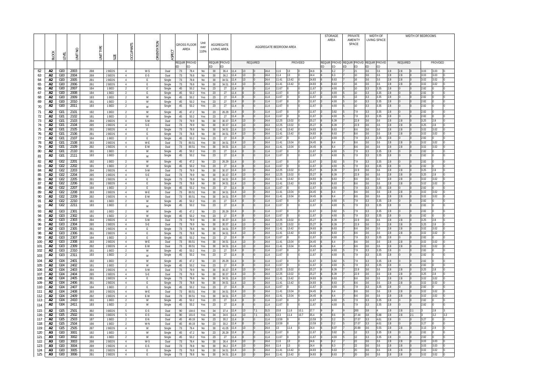| OF BEDROOMS  |              |          |
|--------------|--------------|----------|
|              |              |          |
|              | PROVIDED     |          |
|              |              |          |
| 3.03         | 3.03         | 0        |
| 3.03<br>3.02 | 3.03<br>3.02 | 0<br>0   |
| 3.02         | 3.02         | 0        |
| 2.82         | 0            | 0        |
| 2.82         | 0            | $\Omega$ |
| 2.82         | 0            | 0        |
| 2.82         | 0            | 0        |
| 2.82         | 0            | 0        |
| 2.82         | 0            | 0        |
| 2.82         | 0            | 0        |
| 3.25         | 2.8          | 0        |
| 3.25<br>3.02 | 2.8<br>3.02  | 0<br>0   |
| 3.02         | 3.02         | 0        |
| 2.82         | 0            | 0        |
| 3.02         | 3.02         | 0        |
| 3.02         | 3.02         | 0        |
| 2.82         | 0            | 0        |
| 2.82         | 0            | 0        |
| 2.82         | 0            | 0        |
| 2.82         | 0            | 0        |
| 3.25         | 2.8          | 0        |
| 3.25         | 2.8          | 0        |
| 3.02         | 3.02         | 0        |
| 3.02         | 3.02         | 0        |
| 2.82<br>3.02 | 0<br>3.02    | 0<br>0   |
| 3.02         | 3.02         | 0        |
| 2.82         | 0            | 0        |
| 2.82         | 0            | 0        |
| 2.82         | 0            | 0        |
| 2.82         | 0            | 0        |
| 3.25         | 2.8          | 0        |
| 3.25         | 2.8          | 0        |
| 3.02         | 3.02         | 0        |
| 3.02         | 3.02         | 0        |
| 2.82         | 0            | 0        |
| 3.02         | 3.02         | 0        |
| 3.02<br>2.82 | 3.02<br>0    | 0<br>0   |
| 2.82         | 0            | 0        |
|              |              |          |
| 2.82<br>2.82 | 0<br>0       | 0<br>0   |
| 3.25         | 2.8          | 0        |
| 3.25         | 2.8          | 0        |
| 3.02         | 3.02         | 0        |
| 3.02         | 3.02         | 0        |
| 2.82         | $\mathbf 0$  | 0        |
| 3.02         | 3.02         | 0        |
| 3.02         | 3.02         | 0        |
| 2.82<br>2.82 | 0<br>0       | 0<br>0   |
|              |              |          |
| 3            | 2.8          | 3        |
| 3            | 3.2          | 3.2      |
| 3.27<br>3.27 | 0<br>0       | 0<br>0   |
| 3.13         | 2.9          | 0        |
| 2.82         | 0            | 0        |
| 2.82         | 0            | 0        |
| 3.03         | 3.03         | 0        |
| 3.03         | 3.03         | 0        |
| 3.02         | 3.02         | 0        |
| 3.02         | 3.02         | 0        |

|            | <b>BLOCK</b>         | <b>EVEL</b>                        | UNIT NO      | TYPF<br>$\overline{5}$ | SIZE             | <b>CCUPANTS</b>                  | ORIENTATION  | ASPECT           | AREA      | <b>GROSS FLOOR</b> | Unit<br>over<br>110% |          | AGGREGATE<br>LIVING AREA       |          | AGGREGATE BEDROOM AREA     |                |                |                              |    | STORAGE<br>AREA | <b>PRIVATE</b><br>AMENITY<br>SPACE        |                 | <b>WIDTH OF</b><br>LIVING SPACE |              |            |            | WIDTH OF BEDROOMS |              |              |  |
|------------|----------------------|------------------------------------|--------------|------------------------|------------------|----------------------------------|--------------|------------------|-----------|--------------------|----------------------|----------|--------------------------------|----------|----------------------------|----------------|----------------|------------------------------|----|-----------------|-------------------------------------------|-----------------|---------------------------------|--------------|------------|------------|-------------------|--------------|--------------|--|
|            |                      |                                    |              |                        |                  |                                  |              |                  |           | REQUIR PROVID      |                      |          | REQUIR PROVID                  |          | REQUIRED                   |                |                | <b>PROVIDED</b>              |    |                 | REQUIR PROVID REQUIR PROVID REQUIR PROVID |                 |                                 |              |            | REQUIRED   |                   |              | PROVIDED     |  |
| 62         | A2                   | G00                                | 2003         | 2B8                    | 2 BEDS           | $\overline{4}$                   | W-S          | Dual             | ED.<br>73 | ED<br>78.4         | No                   | ED<br>30 | ED<br>36.4<br>11.4             | 13       | 24.4                       | 11.6           | 13             | 24.6                         | ED | ED<br>6.2       | ED                                        | <b>ED</b><br>21 | ED.<br>3.6                      | ED<br>3.6    | 2.8        | 2.8        |                   | 3.03         | 3.03         |  |
| 63         | A <sub>2</sub>       | G00                                | 2004         | 2B9                    | 2 BEDS           | $\overline{4}$                   | E-S          | Dual             | 73        | 78.8               | No                   | 30       | 36.2<br>11.4                   | 13       | 24.4                       | 11.4           | 13             | 24.4                         |    | 6.3             |                                           | 10 <sup>°</sup> | 3.6                             | 3.6          | 2.8        | 2.8        |                   | 3.03         | 3.03         |  |
| 64<br>65   | A2<br>A2             | G <sub>00</sub><br>G <sub>00</sub> | 2005<br>2006 | 2B1<br>2B1             | 2 BEDS<br>2 BEDS | $\overline{4}$<br>$\overline{4}$ | E<br>E       | Single<br>Single | 73<br>73  | 78.8<br>78.8       | No<br>No             | 30<br>30 | 34.51<br>11.4<br>34.51<br>11.4 | 13<br>13 | 24.4<br>24.4               | 11.41<br>11.41 | 13.42<br>13.42 | 24.83<br>24.83               |    | 5.63<br>6.63    |                                           | 16<br>16        | 3.6<br>3.6                      | 3.6<br>3.6   | 2.8<br>2.8 | 2.8<br>2.8 |                   | 3.02<br>3.02 | 3.02<br>3.02 |  |
| 66         | A2                   | G <sub>00</sub>                    | 2007         | <b>1B4</b>             | 1 BED            | 2                                | E            | Single           | 45        | 50.2               | Yes                  | 23       | 11.4<br>27                     |          | 11.4                       | 11.67          |                | 11.67                        |    | 1.93            |                                           | 10              | 3.3                             | 3.35         | 2.8        |            |                   | 2.82         |              |  |
| 67         | A2                   | G <sub>00</sub>                    | 2008         | <b>1B4</b>             | 1 BED            | 2                                | E            | Single           | 45        | 50.2               | Yes                  | 23       | 11.4<br>27                     |          | 11.4                       | 11.67          |                | 11.67                        |    | 4.93            |                                           | 10              | 3.3                             | 3.35         | 2.8        |            |                   | 2.82         |              |  |
| 68<br>69   | A2<br>A2             | G <sub>00</sub><br>G <sub>00</sub> | 2009<br>2010 | <b>1B3</b><br>1B1      | 1 BED<br>1 BED   | $\overline{2}$<br>2              | W<br>W       | Single<br>Single | 45<br>45  | 50.2<br>50.2       | Yes<br>Yes           | 23<br>23 | 11.4<br>27<br>11.4<br>27       |          | 11.4<br>11.4               | 11.67<br>11.67 |                | 11.67<br>11.67               |    | I.93<br>1.93    |                                           | 13<br>10        | 3.3<br>3.3                      | 3.35<br>3.35 | 2.8<br>2.8 |            |                   | 2.82<br>2.82 |              |  |
| 70         | A2                   | G00                                | 2011         | 1B3                    | 1 BED            | 2                                | W            | Single           | 45        | 50.2               | Yes                  | 23       | 27<br>11.4                     |          | 11.4                       | 11.67          |                | 11.67                        |    | 4.93            |                                           | 10              | 3.3                             | 3.35         | 2.8        |            |                   | 2.82         |              |  |
| 71         | A2                   | G01                                | 2101         | 1B2                    | 1 BED            | 2                                | W            | Single           | 45        | 47.2               | No                   | 23       | 26.29<br>11.4                  |          | 11.4                       | 11.67          |                | 11.67                        |    | 3.82            |                                           | 7.9             | 3.3                             | 3.35         | 2.8        |            |                   | 2.82         |              |  |
| 72         | A2                   | G01                                | 2102         | 1B1                    | 1 BED            | 2                                | W            | Single           | 45        | 50.2               | Yes                  | 23       | 11.4<br>27                     |          | 11.4                       | 11.67          |                | 11.67                        |    | 4.93            |                                           | 7.9             | 3.3 <sup>2</sup>                | 3.35         | 2.8        |            |                   | 2.82         |              |  |
| 73<br>74   | A2<br>A2             | G01<br>G01                         | 2103<br>2104 | 2B4<br>2B5             | 2 BEDS<br>2 BEDS | $\overline{4}$<br>4              | S-W<br>$S-E$ | Dual<br>Dual     | 73<br>73  | 79.9<br>79.9       | No<br>No             | 30<br>30 | 30.37<br>11.4<br>11.4<br>30.37 | 13       | 24.4<br>24.4               | 12.25<br>12.25 | 13.02<br>13.02 | 25.27<br>25.27               |    | 6.39<br>5.39    |                                           | 22.9<br>22.9    | 3.6<br>3.6                      | 3.6<br>3.6   | 2.8<br>2.8 | 2.8<br>2.8 |                   | 3.25<br>3.25 | 2.8<br>2.8   |  |
| 75         | A2                   | G01                                | 2105         | 2B1                    | 2 BEDS           | 4                                | E            | Single           | 73        | 78.8               | No                   | 30       | 11.4<br>34.51                  | 13       | 24.4                       | 11.41          | 13.42          | 24.83                        |    | 5.63            |                                           | 8.6             | 3.6                             | 3.6          | 2.8        | 2.8        |                   | 3.02         | 3.02         |  |
| 76<br>77   | A2                   | G01<br>G01                         | 2106<br>2107 | 2B1                    | 2 BEDS           | $\overline{4}$                   | E            | Single           | 73        | 78.8               | No                   | 30       | 34.51<br>11.4<br>11.4          | 13       | 24.4<br>11.4               | 11.41<br>11.67 | 13.42          | 24.83<br>11.67               |    | 5.63<br>4.93    |                                           | 8.6<br>7.9      | 3.6<br>3.3                      | 3.6<br>3.35  | 2.8<br>2.8 | 2.8        |                   | 3.02<br>2.82 | 3.02         |  |
| 78         | A2<br>A2             | G01                                | 2108         | <b>1B4</b><br>2B3      | 1 BED<br>2 BEDS  | $\overline{2}$<br>$\overline{4}$ | E<br>W-E     | Single<br>Dual   | 45<br>73  | 50.2<br>80.51      | Yes<br>Yes           | 23<br>30 | 27<br>11.4<br>34.51            | 13       | 24.4                       | 11.41          | 13.04          | 24.45                        |    | 6.4             |                                           | 8.6             | 3.6                             | 3.6          | 2.8        | 2.8        |                   | 3.02         | 3.02         |  |
| 79         | A2                   | G01                                | 2109         | 2B2                    | 2 BEDS           | $\overline{4}$                   | E-W          | Dual             | 73        | 80.51              | Yes                  | 30       | 11.4<br>34.51                  |          | 24.4                       | 11.41          | 3.04           | 24.45                        |    | 5.4             |                                           | 8.6             | 3.6                             | 3.6          | 2.8        | 2.8        |                   | 3.02         | 3.02         |  |
| 80         | A2<br>A2             | G01<br>G01                         | 2110<br>2111 | 1B1<br><b>1B3</b>      | 1 BED<br>1 BED   | 2<br>2                           | W            | Single<br>Single | 45<br>45  | 50.2<br>50.2       | Yes<br>Yes           | 23<br>23 | 27<br>11.4<br>27<br>11.4       |          | 11.4<br>11.4               | 11.67<br>11.67 |                | 11.67<br>11.67               |    | 4.93<br>4.93    |                                           | 7.9<br>7.9      | 3.3<br>3.3                      | 3.35<br>3.35 | 2.8<br>2.8 |            |                   | 2.82<br>2.82 |              |  |
| 81<br>82   | A2                   | G <sub>02</sub>                    | 2201         | 1B2                    | 1 BED            | 2                                | W<br>W       | Single           | 45        | 47.2               | No                   | 23       | 26.29<br>11.4                  |          | 11.4                       | 11.67          |                | 11.67                        |    | 3.82            |                                           | 7.9             | 3.3                             | 3.35         | 2.8        |            |                   | 2.82         |              |  |
| 83         | A2                   | G02                                | 2202         | 1B1                    | 1 BED            | $\overline{2}$                   | W            | Single           | 45        | 50.2               | Yes                  | 23       | 27<br>11.4                     |          | 11.4                       | 11.67          |                | 11.67                        |    | 4.93            |                                           | 7.9             | 3.3                             | 3.35         | 2.8        |            |                   | 2.82         |              |  |
| 84         | A2                   | G02                                | 2203         | 2B4                    | 2 BEDS           | $\overline{4}$                   | S-W          | Dual             | 73        | 79.9               | No                   | 30       | 30.37<br>11.4                  | 13       | 24.4                       | 12.25          | 13.02          | 25.27                        |    | 6.39            |                                           | 22.9            | 3.6                             | 3.6          | 2.8        | 2.8        |                   | 3.25         | 2.8          |  |
| 85<br>86   | A2<br>A2             | G02<br>G <sub>02</sub>             | 2204<br>2205 | 2B5<br>2B1             | 2 BEDS<br>2 BEDS | $\overline{4}$<br>4              | $S-E$<br>E   | Dual<br>Single   | 73<br>73  | 79.9<br>78.8       | No<br>No             | 30<br>30 | 30.37<br>11.4<br>11.4<br>34.51 | 13<br>13 | 24.4<br>24.4               | 12.25<br>11.41 | 13.02<br>13.42 | 25.27<br>24.83               |    | 5.39<br>6.63    |                                           | 22.9<br>8.6     | 3.6<br>3.6                      | 3.6<br>3.6   | 2.8<br>2.8 | 2.8<br>2.8 |                   | 3.25<br>3.02 | 2.8<br>3.02  |  |
| 87         | A2                   | G <sub>02</sub>                    | 2206         | 2B1                    | 2 BEDS           | $\overline{4}$                   | E            | Single           | 73        | 78.8               | No                   | 30       | 34.51<br>11.4                  | 13       | 24.4                       | 11.41          | 13.42          | 24.83                        |    | .63             |                                           | 8.6             | 3.6                             | 3.6          | 2.8        | 2.8        |                   | 3.02         | 3.02         |  |
| 88         | A2                   | G <sub>02</sub>                    | 2207         | <b>1B4</b>             | 1 BED            | 2                                | E            | Single           | 45        | 50.2               | Yes                  | 23       | 27<br>11.4                     |          | 11.4                       | 11.67          |                | 11.67                        |    | 4.93            |                                           | 7.9             | 3.3                             | 3.35         | 2.8        |            |                   | 2.82         |              |  |
| 89<br>90   | A2<br>A2             | G02<br>G02                         | 2208<br>2209 | 2B3<br>2B2             | 2 BEDS<br>2 BEDS | $\overline{4}$<br>$\overline{4}$ | W-E<br>E-W   | Dual<br>Dual     | 73<br>73  | 80.51<br>80.51     | Yes<br>Yes           | 30<br>30 | 11.4<br>34.51<br>34.51<br>11.4 |          | 24.4<br>24.4               | 11.41<br>11.41 | 13.04<br>13.04 | 24.45<br>24.45               |    | ,4<br>6.4       |                                           | 8.6<br>8.6      | 3.6<br>3.6                      | 3.6<br>3.6   | 2.8<br>2.8 | 2.8<br>2.8 |                   | 3.02<br>3.02 | 3.02<br>3.02 |  |
| 91         | A2                   | G <sub>02</sub>                    | 2210         | 1B1                    | 1 BED            | $\overline{2}$                   | W            | Single           | 45        | 50.2               | Yes                  | 23       | 27<br>11.4                     |          | 11.4                       | 11.67          |                | 11.67                        |    | 4.93            |                                           | 7.9             | 3.3                             | 3.35         | 2.8        |            |                   | 2.82         |              |  |
| 92         | A2                   | G02                                | 2211         | <b>1B3</b>             | 1 BED            | 2                                | W            | Single           | 45        | 50.2               | Yes                  | 23       | 27<br>11.4                     |          | 11.4                       | 11.67          |                | 1.67                         |    | 4.93            |                                           | 7.9             | 3.3                             | 3.35         | 2.8        |            |                   | 2.82         |              |  |
| 93         | A <sub>2</sub>       | G03                                | 2301         | 1B2                    | 1 BED            | 2                                | W            | Single           | 45        | 47.2               | No                   | 23       | 26.29<br>11.4                  |          | 11.4                       | 11.67          |                | 11.67                        |    | 3.82            |                                           | 7.9             | 3.3                             | 3.35         | 2.8        |            |                   | 2.82         |              |  |
| 94<br>95   | A2<br>A2             | G <sub>0</sub> 3<br>G03            | 2302<br>2303 | 1B1<br>2B4             | 1 BED<br>2 BEDS  | 2<br>4                           | W<br>S-W     | Single<br>Dual   | 45<br>73  | 50.2<br>79.9       | Yes<br>No            | 23<br>30 | 27<br>11.4<br>11.4<br>30.37    |          | 11.4<br>24.4               | 11.67<br>12.25 | 13.02          | 11.67<br>25.27               |    | 4.93<br>5.39    |                                           | 7.9<br>22.9     | 3.3<br>3.6                      | 3.35<br>3.6  | 2.8<br>2.8 | 2.8        |                   | 2.82<br>3.25 | 2.8          |  |
| 96         | A2                   | G03                                | 2304         | 2B5                    | 2 BEDS           | 4                                | $S-E$        | Dual             | 73        | 79.9               | No                   | 30       | 30.37<br>11.4                  | 13       | 24.4                       | 12.25          | 13.02          | 25.27                        |    | 6.39            |                                           | 22.9            | 3.6                             | 3.6          | 2.8        | 2.8        |                   | 3.25         | 2.8          |  |
| 97         | A2                   | G <sub>03</sub>                    | 2305<br>2306 | 2B1<br>2B1             | 2 BEDS<br>2 BEDS | $\overline{4}$                   | E<br>E       | Single           | 73        | 78.8               | No                   | 30       | 11.4<br>34.51<br>11.4          | 13       | 24.4<br>24.4               | 11.41<br>11.41 | 13.42<br>13.42 | 24.83<br>24.83               |    | 5.63<br>5.63    |                                           | 8.6<br>8.6      | 3.6<br>3.6                      | 3.6<br>3.6   | 2.8<br>2.8 | 2.8<br>2.8 |                   | 3.02<br>3.02 | 3.02<br>3.02 |  |
| 98<br>99   | A2<br>A2             | G03<br>G03                         | 2307         | <b>1B4</b>             | 1 BED            | 4<br>2                           | E            | Single<br>Single | 73<br>45  | 78.8<br>50.2       | No<br>Yes            | 30<br>23 | 34.51<br>27<br>11.4            |          | 11.4                       | 11.67          |                | 11.67                        |    | 4.93            |                                           | 7.9             | 3.3                             | 3.35         | 2.8        |            |                   | 2.82         |              |  |
| 100        | A2                   | G03                                | 2308         | 2B3                    | 2 BEDS           |                                  | W-E          | Dual             | 73        | 80.51              | Yes                  | 30       | 11.4<br>34.51                  |          | 24.4                       | 11.41          | 13.04          | 24.45                        |    |                 |                                           |                 |                                 |              | 28         |            |                   | .02          | 3.02         |  |
| 101<br>102 | A <sub>2</sub><br>A2 | G <sub>03</sub><br>G <sub>03</sub> | 2309<br>2310 | 2B2<br>1B1             | 2 BEDS<br>1 BED  | $\overline{4}$<br>$\overline{2}$ | E-W<br>W     | Dual<br>Single   | 73<br>45  | 80.51<br>50.2      | Yes<br>Yes           | 30<br>23 | 11.4<br>34.51<br>11.4<br>27    |          | 24.4<br>11.4               | 11.41<br>11.67 | 13.04          | 24.45<br>11.67               |    | 6.4<br>4.93     |                                           | 8.6<br>7.9      | 3.6<br>3.3                      | 3.6<br>3.35  | 2.8<br>2.8 | 2.8        |                   | 3.02<br>2.82 | 3.02         |  |
| 103        | A2                   | G03                                | 2311         | 1B3                    | 1 BED            | $\overline{2}$                   | W            | Single           | 45        | 50.2               | Yes                  | 23       | 27<br>11.4                     |          | 11.4<br>$\Omega$           | 11.67          |                | 11.67                        |    | 4.93            |                                           | 7.9             | 3.3                             | 3.35         | 2.8        |            |                   | 2.82         |              |  |
| 104        | A2                   | G04                                | 2401         | 1B2                    | 1 BED            | $\overline{2}$                   | W            | Single           | 45        | 47.2               | No                   | 23       | 26.29 11.4                     |          | 11.4                       | 11.67          |                | 11.67                        |    | 3.82            |                                           | 7.9             | 3.3                             | 3.35         | 2.8        |            |                   | 2.82         |              |  |
| 105        | A2                   | G04                                | 2402         | 1B1                    | 1 BED            | $\overline{2}$                   | W            | Single           | 45        | 50.2               | Yes                  | 23       | 27<br>11.4                     |          | 11.4                       | 11.67          |                | 11.67                        |    | 4.93            |                                           | 7.9             | 3.3                             | 3.35         | 2.8        |            |                   | 2.82         |              |  |
| 106<br>107 | A2<br>A2             | G04<br>G04                         | 2403<br>2404 | 2B4<br>2B5             | 2 BEDS<br>2 BEDS | 4<br>4                           | S-W<br>S-E   | Dual<br>Dual     | 73<br>73  | 79.9<br>79.9       | No<br>No             | 30<br>30 | 11.4<br>30.37<br>11.4<br>30.37 | 13<br>13 | 24.4<br>24.4               | 12.25<br>12.25 | 13.02<br>13.02 | 25.27<br>25.27               |    | 6.39<br>6.39    |                                           | 22.9<br>22.9    | 3.6<br>3.6                      | 3.6<br>3.6   | 2.8<br>2.8 | 2.8<br>2.8 |                   | 3.25<br>3.25 | 2.8<br>2.8   |  |
| 108        | A2                   | G04                                | 2405         | 2B1                    | 2 BEDS           | 4                                | E            | Single           | 73        | 78.8               | No                   | 30       | 11.4<br>34.51                  | 13       | 24.4                       | 11.41          | 13.42          | 24.83                        |    | 6.63            |                                           | 8.6             | 3.6                             | 3.6          | 2.8        | 2.8        |                   | 3.02         | 3.02         |  |
| 109        | A2                   | G04                                | 2406         | 2B1                    | 2 BEDS           | 4                                | E            | Single           | 73        | 78.8               | No                   | 30       | 11.4<br>34.51                  |          | 24.4                       | 11.41          | 13.42          | 24.83                        |    | 6.63            |                                           | 8.6             | 3.6                             | 3.6          | 2.8        | 2.8        |                   | 3.02<br>2.82 | 3.02         |  |
| 110<br>111 | A2<br>A2             | G04<br>G04                         | 2407<br>2408 | 1B4<br>2B3             | 1 BED<br>2 BEDS  | 2<br>4                           | E<br>W-E     | Single<br>Dual   | 45<br>73  | 50.2<br>80.51      | Yes<br>Yes           | 23<br>30 | 27<br>11.4<br>11.4<br>34.51    | 13       | 11.4<br>24.4               | 11.67<br>11.41 | 13.04          | 11.67<br>24.45               |    | 4.93<br>6.4     |                                           | 7.9<br>8.6      | 3.3<br>3.6                      | 3.35<br>3.6  | 2.8<br>2.8 | 2.8        |                   | 3.02         | 3.02         |  |
| 112        | A2                   | G04                                | 2409         | 2B2                    | 2 BEDS           | 4                                | E-W          | Dual             | 73        | 80.51              | Yes                  | 30       | 34.51<br>11.4                  | 13       | 24.4                       | 11.41          | 13.04          | 24.45                        |    | 6.4             |                                           | 8.6             | 3.6                             | 3.6          | 2.8        | 2.8        |                   | 3.02         | 3.02         |  |
| 113        | A <sub>2</sub><br>A2 | G04<br>G04                         | 2410         | 1B1<br>1B3             | 1 BED<br>1 BED   | $\overline{2}$                   | W<br>W       | Single           | 45        | 50.2               | Yes                  | 23       | 27<br>11.4<br>27<br>11.4       |          | 11.4<br>11.4               | 11.67<br>11.67 |                | 11.67<br>11.67               |    | 4.93<br>4.93    |                                           | 7.9<br>7.9      | 3.3<br>3.3                      | 3.35<br>3.35 | 2.8<br>2.8 |            |                   | 2.82<br>2.82 |              |  |
| 114        |                      |                                    | 2411         |                        |                  | $\overline{2}$                   |              | Single           | 45        | 50.2               | Yes                  | 23       |                                |          |                            |                |                |                              |    |                 |                                           |                 |                                 |              |            |            |                   |              |              |  |
| 115<br>116 | A <sub>2</sub><br>A2 | G05<br>G05                         | 2501<br>2502 | 3B2<br>3B1             | 3 BEDS<br>3 BEDS | -5<br>5                          | E-S<br>E-S   | Dual<br>Dual     | 90<br>90  | 104.6<br>101.6     | Yes<br>Yes           | 34<br>34 | 37.4<br>11.4<br>11.4<br>34.6   | 13       | 7.1<br>31.5<br>7.1<br>31.5 | 15.8<br>13.3   | 11.8<br>11.4   | 37.7<br>10.1<br>35.4<br>10.7 |    | 9.6             |                                           | 260<br>27.44    | 3.8<br>3.8                      | 5.88         | 2.8<br>2.8 | 2.8<br>2.8 | 2.1<br>2.1        |              | 2.8<br>3.2   |  |
| 117        | A2                   | G05                                | 2503         | 1B7                    | 1 BED            | $\overline{2}$                   | E-N          | Dual             | 45        | 49.19              | No                   | 23       | 11.4<br>30.2                   |          | 11.4                       | 13.59          |                | 13.59                        |    | 3.2             |                                           | 27.07           | 3.3                             | 4.61         | 2.8        |            |                   | 3.27         |              |  |
| 118        | A2                   | G05<br>G05                         | 2504<br>2505 | 1B6<br>2B7             | 1 BED            | 2                                | W-N          | Dual             | 45        | 49.19              | No                   | 23       | 30.2<br>11.4<br>41.05 11.4     |          | 11.4<br>24.4               | 13.59<br>13    | 11.4           | 13.59<br>24.4                |    | 3.2<br>6.07     |                                           | 27.07<br>20.88  | 3.3<br>3.6                      | 4.61<br>5.55 | 2.8<br>2.8 | 2.8        |                   | 3.27<br>3.13 | 2.9          |  |
| 119<br>120 | A2<br>A3             | G00                                | 3001         | 1B2                    | 2 BEDS<br>1 BED  | 4<br>$\overline{2}$              | W<br>W       | Single<br>Single | 73<br>45  | 79.4<br>47.2       | No<br>No             | 30<br>23 | 26.29 11.4                     |          | 11.4                       | 11.67          |                | 11.67                        |    | 3.82            |                                           | 12              | 3.3                             | 3.35         | 2.8        |            |                   | 2.82         |              |  |
| 121        | A3                   | G00                                | 3002         | 1B1                    | 1 BED            | 2                                | W            | Single           | 45        | 50.2               | Yes                  | 23       | 11.4<br>27                     |          | 11.4                       | 11.67          |                | 11.67                        |    | 4.93            |                                           | 12              |                                 | 3.35         | 2.8        |            |                   | 2.82         |              |  |
| 122        | A <sub>3</sub>       | G00                                | 3003         | 2B8                    | 2 BEDS           | 4                                | W-S          | Dual             | 73        | 78.4               | No                   | 30       | 11.4<br>36.4                   | 13<br>13 | 24.4                       | 11.6<br>11.4   | 13             | 24.6<br>24.4                 |    | 6.2<br>6.3      |                                           | 22              | 3.6                             | 3.6          | 2.8        | 2.8<br>2.8 |                   | 3.03         | 3.03         |  |
| 123<br>124 | A3<br>A3             | G00<br>G00                         | 3004<br>3005 | 2B9<br>2B1             | 2 BEDS<br>2 BEDS | 4<br>4                           | E-S<br>E.    | Dual<br>Single   | 73<br>73  | 78.8<br>78.8       | No<br>No             | 30<br>30 | 11.4<br>36.2<br>34.51<br>11.4  | 13       | 24.4<br>24.4               | 11.41          | 13.42          | 24.83                        |    | 6.63            |                                           | 22<br>20        | 3.6<br>3.6                      | 3.6<br>3.6   | 2.8<br>2.8 | 2.8        |                   | 3.03<br>3.02 | 3.03<br>3.02 |  |
| 125        | A3                   | G00                                | 3006         | 2B1                    | 2 BEDS           | $\overline{4}$                   | E            | Single           | 73        | 78.8               | No                   | 30       | 11.4<br>34.51                  | 13       | 24.4                       | 11.41          | 13.42          | 24.83                        |    | 6.63            |                                           | 20              | 3.6                             | 3.6          | 2.8        | 2.8        |                   | 3.02         | 3.02         |  |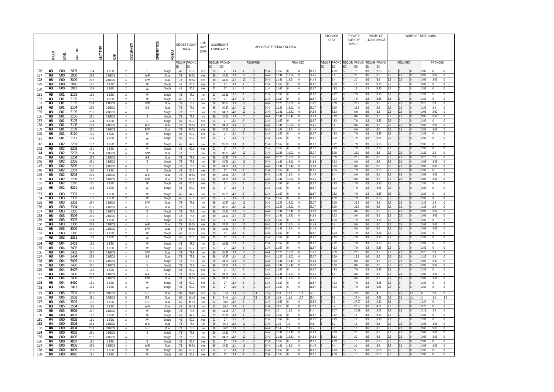| OF BEDROOMS       |                      |                |
|-------------------|----------------------|----------------|
|                   |                      |                |
|                   |                      |                |
|                   |                      |                |
|                   | <b>PROVIDED</b>      |                |
|                   |                      |                |
| 2.82              | 0                    | 0              |
| 3.02<br>3.02      | 3.02<br>3.02         | 0<br>0         |
| 2.82              | 0                    | 0              |
| 2.82              | 0                    | 0              |
| 2.82              | 0                    | 0              |
| 2.82<br>3.25      | $\mathbf 0$<br>2.8   | 0<br>0         |
| 3.25              | 2.8                  | 0              |
| 3.02              | 3.02                 | 0              |
| 3.02              | 3.02                 | 0              |
| 2.82<br>3.02      | $\mathbf{0}$<br>3.02 | 0<br>0         |
| 3.02              | 3.02                 | 0              |
| 2.82              | 0                    | 0              |
| 2.82              | 0                    | 0              |
| $2.\overline{82}$ | 0                    | $\overline{0}$ |
| 2.82<br>3.25      | 0<br>2.8             | 0<br>0         |
| 3.25              | 2.8                  | 0              |
| 3.02              | 3.02                 | 0              |
| 3.02              | 3.02                 | 0              |
| 2.82<br>3.02      | 0<br>3.02            | 0<br>0         |
| 3.02              | 3.02                 | 0              |
| 2.82              | 0                    | 0              |
| 2.82              | 0                    | 0              |
| 2.82              | 0                    | 0              |
| 2.82              | 0                    | 0              |
| 3.25<br>3.25      | 2.8<br>2.8           | 0<br>0         |
| 3.02              | 3.02                 | 0              |
| 3.02              | 3.02                 | 0              |
| 2.82<br>3.02      | 0<br>3.02            | 0<br>0         |
| 3.02              | 3.02                 | 0              |
| 2.82              | 0                    | 0              |
| 2.82              | 0                    | 0              |
| 2.82              | 0                    | 0              |
| 2.82<br>3.25      | 0<br>2.8             | 0<br>0         |
| 3.25              | 2.8                  | 0              |
| 3.02              | 3.02                 | 0              |
| 3.02              | 3.02                 | 0              |
| 2.82<br>3.02      | 0<br>3.02            | 0<br>0         |
| 3.02              | 3.02                 | 0              |
| 2.82              | 0                    | 0              |
| 2.82              | 0                    | 0              |
| 3                 | 2.8                  | 3              |
| 3<br>3.27         | 3.2<br>0             | 3.2<br>0       |
| 3.27              | 0                    | 0              |
| 3.13              | 2.9                  | 0              |
| 2.82              | 0<br>0               | 0<br>0         |
| 2.82<br>3.03      | 3.03                 | 0              |
| 3.03              | 3.03                 | 0              |
| 3.02              | 3.02                 | 0              |
| 3.02<br>2.82      | 3.02<br>$\mathbf{0}$ | 0<br>0         |
| 3.02              | 3.02                 | 0              |
| 2.82              | 0                    | 0              |
| 2.82              | 0                    | 0              |

|            | <b>BLOCK</b>                     | LEVEL                              | $\frac{1}{2}$<br><b>SINT</b> | TYPE<br><b>TINU</b>    | SIZE             | <b>OCCUPANTS</b>                 | ORIENTATION | ASPECT           |                     | <b>GROSS FLOOR</b><br>AREA | Unit<br>over<br>110% |          | AGGREGATE<br>LIVING AREA |              |          | AGGREGATE BEDROOM AREA |                |                |                |    | <b>STORAGE</b><br>AREA | AMENITY                                  | <b>PRIVATE</b><br>SPACE | <b>WIDTH OF</b><br>LIVING SPACE |                     |            |            | WIDTH OF BEDROOMS |              |              |  |
|------------|----------------------------------|------------------------------------|------------------------------|------------------------|------------------|----------------------------------|-------------|------------------|---------------------|----------------------------|----------------------|----------|--------------------------|--------------|----------|------------------------|----------------|----------------|----------------|----|------------------------|------------------------------------------|-------------------------|---------------------------------|---------------------|------------|------------|-------------------|--------------|--------------|--|
|            |                                  |                                    |                              |                        |                  |                                  |             |                  | <b>REQUIR</b><br>ED | PROVID<br>ED               |                      | ED       | REQUIR PROVID<br>ED      |              |          | REQUIRED               |                |                | PROVIDED       | ED | ED                     | REQUIR PROVID REQUIR PROVID REQUIR<br>ED | <b>ED</b>               | <b>ED</b>                       | <b>PROVID</b><br>ED |            | REQUIRED   |                   |              | PROVIDED     |  |
| 126        | A3                               | G <sub>00</sub>                    | 3007                         | <b>1B4</b>             | 1 BED            | 2                                | E           | Single           | 45                  | 50.2                       | Yes                  | 23       | 27                       | 11.4         |          | 11.4                   | 11.67          |                | 11.67          |    | 4.93                   |                                          | 12                      | 3.3                             | 3.35                | 2.8        |            | 2.82              |              |              |  |
| 127<br>128 | A3<br>A <sub>3</sub>             | G <sub>00</sub><br>G <sub>00</sub> | 3008<br>3009                 | 2B3<br>2B2             | 2 BEDS<br>2 BEDS | $\overline{4}$<br>$\overline{4}$ | W-E<br>E-W  | Dual             | 73<br>73            | 80.51                      | Yes                  | 30<br>30 | 34.51<br>34.51           | 11.4<br>11.4 | 13<br>13 | 24.4<br>24.4           | 11.41<br>11.41 | 13.04<br>3.04  | 24.45<br>24.45 |    | 6.4<br>6.4             |                                          | 20<br>20                | 3.6<br>3.6                      | 3.6<br>3.6          | 2.8<br>2.8 | 2.8<br>2.8 |                   | 3.02<br>3.02 | 3.02<br>3.02 |  |
| 129        | A <sub>3</sub>                   | G <sub>00</sub>                    | 3010                         | <b>1B1</b>             | 1 BED            | $\overline{2}$                   | W           | Dual<br>Single   | 45                  | 80.51<br>50.2              | Yes<br>Yes           | 23       | 27                       | 11.4         |          | 11.4                   | 11.67          |                | 11.67          |    | 4.93                   |                                          | 12                      | 3.3                             | 3.35                | 2.8        |            |                   | 2.82         |              |  |
| 130        | A3                               | G <sub>00</sub>                    | 3011                         | 1B3                    | 1 BED            | 2                                | W           | Single           | 45                  | 50.2                       | Yes                  | 23       | 27                       | 11.4         |          | 11.4                   | 11.67          |                | 11.67          |    | 4.93                   |                                          | 12                      | 3.3                             | 3.35                | 2.8        |            |                   | 2.82         |              |  |
| 131        | A3                               | G01                                | 3101                         | 1B <sub>2</sub>        | 1 BED            | 2                                | W           | Single           | 45                  | 47.2                       | No                   | 23       | 26.29                    | 11.4         |          | 11.4                   | 11.67          |                | 11.67          |    | 3.82                   |                                          | 7.9                     | 3.3                             | 3.35                | 2.8        |            | 2.82              |              |              |  |
| 132        | A <sub>3</sub>                   | G01                                | 3102                         | <b>1B1</b>             | 1 BED            | 2                                | W           | Single           | 45                  | 50.2                       | Yes                  | 23       | 27                       | 11.4         |          | 11.4                   | 11.67          |                | 11.67          |    | 4.93                   |                                          | 7.9                     | 3.3                             | 3.35                | 2.8        |            | 2.82              |              |              |  |
| 133        | A3                               | G01                                | 3103                         | 2B4                    | 2 BEDS           | $\overline{4}$                   | $S-W$       | Dual             | 73                  | 79.9                       | No                   | 30       | 30.37                    | 11.4         | 13       | 24.4                   | 12.25          | 13.02          | 25.27          |    | 6.39                   |                                          | 22.9                    | 3.6                             | 3.6                 | 2.8        | 2.8        | 3.25              |              | 2.8          |  |
| 134<br>135 | A <sub>3</sub><br>A <sub>3</sub> | G01<br>G01                         | 3104<br>3105                 | 2B5<br>2B1             | 2 BEDS<br>2 BEDS | $\overline{4}$<br>$\overline{4}$ | $S-E$<br>E  | Dual<br>Single   | 73<br>73            | 79.9<br>78.8               | No<br>No             | 30<br>30 | 30.37<br>34.51           | 11.4<br>11.4 | 13<br>13 | 24.4<br>24.4           | 12.25<br>11.41 | 13.02<br>13.42 | 25.27<br>24.83 |    | 6.39<br>6.63           |                                          | 22.9<br>8.6             | 3.6<br>3.6                      | 3.6<br>3.6          | 2.8<br>2.8 | 2.8<br>2.8 | 3.02              | 3.25         | 2.8<br>3.02  |  |
| 136        | A <sub>3</sub>                   | G01                                | 3106                         | 2B1                    | 2 BEDS           | $\overline{4}$                   | E           | Single           | 73                  | 78.8                       | No                   | 30       | 34.51                    | 11.4         | 13       | 24.4                   | 11.41          | 13.42          | 24.83          |    | 6.63                   |                                          | 8.6                     | 3.6                             | 3.6                 | 2.8        | 2.8        | 3.02              |              | 3.02         |  |
| 137        | A3                               | G01                                | 3107                         | <b>1B4</b>             | 1 BED            | 2                                | E           | Single           | 45                  | 50.2                       | Yes                  | 23       | 27                       | 11.4         |          | 11.4                   | 11.67          |                | 11.67          |    | 4.93                   |                                          | 7.9                     | 3.3                             | 3.35                | 2.8        |            | 2.82              |              |              |  |
| 138        | A <sub>3</sub>                   | G01                                | 3108                         | 2B3                    | 2 BEDS           | $\overline{4}$                   | W-E         | Dual             | 73                  | 80.51                      | Yes                  | 30       | 34.51                    | 11.4         | 13       | 24.4                   | 11.41          | 13.04          | 24.45          |    |                        |                                          | B.6                     | 3.6                             | .6                  | 2.8        | 2.8        | 3.02              |              | 3.02         |  |
| 139<br>140 | A3<br>A3                         | G01<br>G01                         | 3109<br>3110                 | 2B2<br>1B1             | 2 BEDS<br>1 BED  | $\overline{4}$<br>$\overline{2}$ | E-W<br>W    | Dual<br>Single   | 73<br>45            | 80.51<br>50.2              | Yes<br>Yes           | 30<br>23 | 34.51<br>27              | 11.4<br>11.4 | 13       | 24.4<br>11.4           | 11.41<br>11.67 | 13.04          | 24.45<br>11.67 |    | 6.4<br>4.93            |                                          | 8.6<br>7.9              | 3.6<br>3.3                      | 3.6<br>3.35         | 2.8<br>2.8 | 2.8        | 2.82              | 3.02         | 3.02         |  |
| 141        | A <sub>3</sub>                   | G <sub>01</sub>                    | 3111                         | 1B3                    | 1 BED            | 2                                | W           | Single           | 45                  | 50.2                       | Yes                  | 23       | 27                       | 11.4         |          | 11.4                   | 11.67          |                | 11.67          |    | 4.93                   |                                          | 7.9                     | 3.3                             | 3.35                | 2.8        |            |                   | 2.82         |              |  |
| 142        | A3                               | G <sub>02</sub>                    | 3201                         | 1B <sub>2</sub>        | 1 BED            | 2                                | W           | Single           | 45                  | 47.2                       | No                   | 23       | 26.29                    | 11.4         |          | 11.4                   | 11.67          |                | 11.67          |    | 3.82                   |                                          | 7.9                     | 3.3                             | 3.35                | 2.8        |            | 2.82              |              |              |  |
| 143        | A <sub>3</sub>                   | G <sub>02</sub>                    | 3202                         | <b>1B1</b>             | 1 BED            | $\overline{2}$                   | W           | Single           | 45                  | 50.2                       | Yes                  | 23       | 27                       | 11.4         |          | 11.4                   | 11.67          |                | 11.67          |    | 4.93                   |                                          | 7.9                     | 3.3                             | 3.35                | 2.8        |            | 2.82              |              |              |  |
| 144        | A <sub>3</sub>                   | G02                                | 3203                         | 2B4                    | 2 BEDS           | $\overline{4}$                   | S-W         | Dual             | 73                  | 79.9                       | No                   | 30       | 30.37                    | 11.4         | 13       | 24.4                   | 12.25          | 13.02          | 25.27          |    | 6.39                   |                                          | 22.9                    | 3.6                             | 3.6                 | 2.8        | 2.8        | 3.25              |              | 2.8          |  |
| 145<br>146 | A3<br>A <sub>3</sub>             | G02<br>G02                         | 3204<br>3205                 | 2B5<br>2B1             | 2 BEDS<br>2 BEDS | $\overline{4}$<br>$\overline{4}$ | $S-E$<br>E  | Dual<br>Single   | 73<br>73            | 79.9<br>78.8               | No<br>No             | 30<br>30 | 30.37<br>34.51           | 11.4<br>11.4 | 13<br>13 | 24.4<br>24.4           | 12.25<br>11.41 | 13.02<br>13.42 | 25.27<br>24.83 |    | 6.39<br>6.63           |                                          | 22.9<br>8.6             | 3.6<br>3.6                      | 3.6<br>3.6          | 2.8<br>2.8 | 2.8<br>2.8 | 3.25<br>3.02      |              | 2.8<br>3.02  |  |
| 147        | A3                               | G <sub>02</sub>                    | 3206                         | 2B1                    | 2 BEDS           | $\overline{4}$                   | E           | Single           | 73                  | 78.8                       | No                   | 30       | 34.51                    | 11.4         | 13       | 24.4                   | 11.41          | 13.42          | 24.83          |    | 6.63                   |                                          | 8.6                     | 3.6                             | 3.6                 | 2.8        | 2.8        |                   | 3.02         | 3.02         |  |
| 148        | A3                               | G02                                | 3207                         | <b>1B4</b>             | 1 BED            | 2                                | E           | Single           | 45                  | 50.2                       | Yes                  | 23       | 27                       | 11.4         |          | 11.4                   | 11.67          |                | 11.67          |    | 4.93                   |                                          | 7.9                     | 3.3                             | 3.35                | 2.8        |            | 2.82              |              |              |  |
| 149        | A <sub>3</sub>                   | G02                                | 3208                         | 2B3                    | 2 BEDS           | $\overline{4}$                   | W-E         | Dual             | 73                  | 80.51                      | Yes                  | 30       | 34.51                    | 11.4         | 13       | 24.4                   | 11.41          | 13.04          | 24.45          |    | 6.4                    |                                          | 8.6                     | 3.6                             | 3.6                 | 2.8        | 2.8        |                   | 3.02         | 3.02         |  |
| 150<br>151 | A <sub>3</sub><br>A <sub>3</sub> | G <sub>02</sub><br>G02             | 3209<br>3210                 | 2B2<br>1B1             | 2 BEDS<br>1 BED  | $\overline{4}$<br>2              | E-W<br>W    | Dual<br>Single   | 73<br>45            | 80.51<br>50.2              | Yes<br>Yes           | 30<br>23 | 34.51<br>27              | 11.4<br>11.4 | 13       | 24.4<br>11.4           | 11.41<br>11.67 | 13.04          | 24.45<br>11.67 |    | 6.4<br>4.93            |                                          | 8.6<br>7.9              | 3.6<br>3.3                      | 3.6<br>3.35         | 2.8<br>2.8 | 2.8        | 2.82              | 3.02         | 3.02         |  |
| 152        | A <sub>3</sub>                   | G <sub>02</sub>                    | 3211                         | 1B3                    | 1 BED            | 2                                | W           | Single           | 45                  | 50.2                       | Yes                  | 23       | 27                       | 11.4         |          | 11.4                   | 11.67          |                | 11.67          |    | 4.93                   |                                          | 7.9                     | 3.3                             | 3.35                | 2.8        |            |                   | 2.82         |              |  |
| 153        | A3                               | G03                                | 3301                         | 1B2                    | 1 BED            | $\overline{2}$                   | W           | Single           | 45                  | 47.2                       | No                   | 23       | 26.29                    | 11.4         |          | 11.4                   | 11.67          |                | 11.67          |    | 3.82                   |                                          | 7.9                     | 3.3                             | 3.35                | 2.8        |            |                   | 2.82         |              |  |
| 154        | A3                               | G03                                | 3302                         | 1B1                    | 1 BED            | 2                                | W           | Single           | 45                  | 50.2                       | Yes                  | 23       | 27                       | 11.4         |          | 11.4                   | 11.67          |                | 11.67          |    | 4.93                   |                                          | 7.9                     | 3.3                             | 3.35                | 2.8        |            | 2.82              |              |              |  |
| 155        | A <sub>3</sub>                   | G03                                | 3303                         | 2B4                    | 2 BEDS           | $\overline{4}$                   | S-W         | Dual             | 73                  | 79.9                       | No                   | 30       | 30.37                    | 11.4         | 13       | 24.4                   | 12.25          | 13.02          | 25.27          |    | 6.39                   |                                          | 22.9                    | 3.6                             | 3.6                 | 2.8        | 2.8        |                   | 3.25         | 2.8          |  |
| 156        | A <sub>3</sub>                   | G03                                | 3304                         | 2B5                    | 2 BEDS           | $\overline{4}$                   | $S-E$       | Dual             | 73                  | 79.9                       | No                   | 30       | 30.37                    | 11.4         | 13       | 24.4                   | 12.25          | 13.02          | 25.27          |    | 6.39                   |                                          | 22.9                    | 3.6                             | 3.6                 | 2.8        | 2.8        | 3.25              |              | 2.8          |  |
| 157<br>158 | A <sub>3</sub><br>A <sub>3</sub> | G03<br>G03                         | 3305<br>3306                 | 2B1<br>2B1             | 2 BEDS<br>2 BEDS | $\overline{4}$<br>$\overline{4}$ | E<br>E      | Single<br>Single | 73<br>73            | 78.8<br>78.8               | No<br>No             | 30<br>30 | 34.51<br>34.51           | 11.4<br>11.4 | 13<br>13 | 24.4<br>24.4           | 11.41<br>11.41 | 13.42<br>13.42 | 24.83<br>24.83 |    | 6.63<br>6.63           |                                          | 8.6<br>8.6              | 3.6<br>3.6                      | 3.6<br>3.6          | 2.8<br>2.8 | 2.8<br>2.8 | 3.02<br>3.02      |              | 3.02<br>3.02 |  |
| 159        | A <sub>3</sub>                   | G03                                | 3307                         | <b>1B4</b>             | 1 BED            | 2                                | E           | Single           | 45                  | 50.2                       | Yes                  | 23       | 27                       | 11.4         |          | 11.4                   | 11.67          |                | 1.67           |    | 1.93                   |                                          | 7.9                     | 3.3                             | 3.35                | 2.8        |            | 2.82              |              |              |  |
| 160        | A3                               | G03                                | 3308                         | 2B3                    | 2 BEDS           | $\overline{4}$                   | W-E         | Dual             | 73                  | 80.51                      | Yes                  | 30       | 34.51                    | 11.4         | 13       | 24.4                   | 11.41          | 13.04          | 24.45          |    | 6.4                    |                                          | 8.6                     | 3.6                             | 3.6                 | 2.8        | 2.8        | 3.02              |              | 3.02         |  |
| 161        | A3                               | G <sub>03</sub>                    | 3309                         | 2B2                    | 2 BEDS           | $\overline{4}$                   | E-W         | Dual             | 73                  | 80.51                      | Yes                  | 30       | 34.51                    | 11.4         | 13       | 24.4                   | 11.41          | 13.04          | 24.45          |    | 6.4                    |                                          | 8.6                     | 3.6                             | 3.6                 | 2.8        | 2.8        | 3.02              |              | 3.02         |  |
| 162<br>163 | A3<br>A <sub>3</sub>             | G03<br>G03                         | 3310<br>3311                 | 1B1<br>1B3             | 1 BED<br>1 BED   | $\overline{2}$<br>$\mathfrak{D}$ | W<br>W      | Single<br>Single | 45<br>45            | 50.2<br>50.2               | Yes<br>Yes           | 23<br>23 | 27<br>27                 | 11.4<br>11.4 |          | 11.4<br>11.4           | 11.67<br>11.67 |                | 11.67<br>11.67 |    | 4.93<br>4.93           |                                          | 7.9<br>7.9              | 3.3<br>3.3                      | 3.35<br>3.35        | 2.8<br>2.8 |            |                   | 2.82<br>2.82 |              |  |
|            |                                  | G <sub>04</sub>                    | 3401                         |                        |                  |                                  |             |                  |                     |                            |                      | 23       |                          | 11.4         |          | 11.4                   | 11.67          |                | 11.67          |    | 3.82                   |                                          | 7.9                     | 3.3                             | 3.35                | 2.8        |            |                   | 2.82         |              |  |
| 164<br>165 | A3<br>A3                         | G <sub>04</sub>                    | 3402                         | 1B2<br>1B1             | 1 BED<br>1 BED   | 2                                | W<br>W      | Single<br>Single | 45<br>45            | 47.2<br>50.2               | No<br>Yes            | 23       | 26.29<br>27              | 11.4         |          | 11.4                   | 11.67          |                | 11.67          |    | 4.93                   |                                          | 7.9                     | 3.3                             | 3.35                | 2.8        |            | 2.82              |              |              |  |
| 166        | A3                               | G04                                | 3403                         | 2B4                    | 2 BEDS           | $\overline{4}$                   | S-W         | Dual             | 73                  | 79.9                       | No                   | 30       | 30.37                    | 11.4         | 13       | 24.4                   | 12.25          | 13.02          | 25.27          |    | 6.39                   |                                          | 22.9                    | 3.6                             | 3.6                 | 2.8        | 2.8        |                   | 3.25         | 2.8          |  |
| 167        | A3                               | G04                                | 3404                         | 2B5                    | 2 BEDS           | 4                                | S-E         | Dual             | 73                  | 79.9                       | No                   | 30       | 30.37                    | 11.4         | 13       | 24.4                   | 12.25          | 13.02          | 25.27          |    | 6.39                   |                                          | 22.9                    | 3.6                             | 3.6                 | 2.8        | 2.8        | 3.25              |              | 2.8          |  |
| 168<br>169 | A3<br>A3                         | G04<br>G <sub>04</sub>             | 3405<br>3406                 | 2B1<br>2B1             | 2 BEDS<br>2 BEDS | $\overline{4}$<br>$\overline{4}$ | E<br>E      | Single<br>Single | 73<br>73            | 78.8<br>78.8               | No<br>No             | 30<br>30 | 34.51<br>34.51           | 11.4<br>11.4 | 13<br>13 | 24.4<br>24.4           | 11.41<br>11.41 | 13.42<br>13.42 | 24.83<br>24.83 |    | 6.63<br>6.63           |                                          | 8.6<br>8.6              | 3.6<br>3.6                      | 3.6<br>3.6          | 2.8<br>2.8 | 2.8<br>2.8 | 3.02<br>3.02      |              | 3.02<br>3.02 |  |
| 170        | A3                               | G04                                | 3407                         | 1B4                    | 1 BED            | $\overline{2}$                   | E           | Single           | 45                  | 50.2                       | Yes                  | 23       | 27                       | 11.4         |          | 11.4                   | 11.67          |                | 11.67          |    | 4.93                   |                                          | 7.9                     | 3.3                             | 3.35                | 2.8        |            |                   | 2.82         |              |  |
| 171        | A <sub>3</sub>                   | G <sub>04</sub>                    | 3408                         | 2B3                    | 2 BEDS           | $\overline{4}$                   | W-E         | Dual             | 73                  | 80.51                      | Yes                  | 30       | 34.51                    | 11.4         | 13       | 24.4                   | 11.41          | 13.04          | 24.45          |    | 6.4                    |                                          | 8.6                     | 3.6                             | 3.6                 | 2.8        | 2.8        | 3.02              |              | 3.02         |  |
| 172        | A3                               | G <sub>04</sub>                    | 3409                         | 2B2                    | 2 BEDS           | $\overline{4}$                   | E-W         | Dual             | 73                  | 80.51                      | Yes                  | 30       | 34.51                    | 11.4         | 13       | 24.4                   | 11.41          | 13.04          | 24.45          |    | 6.4                    |                                          | 8.6                     | 3.6                             | 3.6                 | 2.8        | 2.8        |                   | 3.02         | 3.02         |  |
| 173<br>174 | A3<br>A3                         | GO4<br>G04                         | 3410<br>3411                 | 1B1<br>1B3             | 1 BED<br>1 BED   | $\overline{2}$<br>$\overline{a}$ | W           | Single<br>Single | 45<br>45            | 50.2<br>50.2               | Yes<br>Yes           | 23<br>23 | 27<br>27                 | 11.4<br>11.4 |          | 11.4<br>11.4           | 11.67<br>11.67 |                | 11.67<br>11.67 |    | 4.93<br>4.93           |                                          | 7.9<br>7.9              | 3.3<br>3.3                      | 3.35<br>3.35        | 2.8<br>2.8 |            | 2.82              | 2.82         |              |  |
|            |                                  |                                    | 3501                         |                        |                  | 5                                | W<br>E-S    |                  |                     |                            |                      |          |                          | 11.4         | 13       | 31.5<br>7.1            | 15.8           | 11.8           | 37.7<br>10.1   |    |                        |                                          | 260                     | 3.8                             |                     | 2.8        | 2.8        | 2.1               |              | 2.8          |  |
| 175<br>176 | A3<br>A3                         | G05<br>G05                         | 3502                         | 3B2<br>3B1             | 3 BEDS<br>3 BEDS | 5                                | E-S         | Dual<br>Dual     | 90<br>90            | 104.6<br>101.6             | Yes<br>Yes           | 34<br>34 | 37.4<br>34.6             | 11.4         | 13       | 31.5<br>7.1            | 13.3           | 11.4           | 10.7<br>35.4   |    | 9.6                    |                                          | 27.44                   | 3.8                             | 5.88                | 2.8        | 2.8        | 2.1               |              | 3.2          |  |
| 177        | A3                               | G05                                | 3503                         | 1B7                    | 1 BED            | $\overline{2}$                   | E-N         | Dual             | 45                  | 49.19                      | No                   | 23       | 30.2                     | 11.4         |          | 11.4                   | 13.59          |                | 13.59          |    | 3.2                    |                                          | 27.07                   | 3.3                             | 4.61                | 2.8        |            | 3.27              |              |              |  |
| 178        | A <sub>3</sub>                   | G05                                | 3504                         | 1B6                    | 1 BED            | $\overline{2}$                   | W-N         | Dual             | 45                  | 49.19                      | No                   | 23       | 30.2                     | 11.4         |          | 11.4                   | 13.59          |                | 13.59          |    | 3.2                    |                                          | 27.07                   |                                 | 4.61                | 2.8        |            | 3.27              |              |              |  |
| 179        | A3<br>A4                         | G05                                | 3505                         | 2B7                    | 2 BEDS           | $\overline{4}$                   | W           | Single           | 73                  | 79.4                       | No                   | 30       | 41.05                    | 11.4<br>11.4 |          | 24.4<br>11.4           | 13<br>11.67    | 11.4           | 24.4<br>11.67  |    | 6.07<br>3.82           |                                          | 20.88<br>12             |                                 | 5.55<br>3.35        | 2.8<br>2.8 | 2.8        | 2.82              | 3.13         | 2.9          |  |
| 180<br>181 | A4                               | G00<br>G <sub>0</sub>              | 4001<br>4002                 | 1B <sub>2</sub><br>1B1 | 1 BED<br>1 BED   | $\overline{2}$<br>$\overline{2}$ | W<br>W      | Single<br>Single | 45<br>45            | 47.2<br>50.2               | No<br>Yes            | 23<br>23 | 26.29<br>27              | 11.4         |          | 11.4                   | 11.67          |                | 11.67          |    | 4.93                   |                                          | 12                      | 3.3<br>3.3                      | 3.35                | 2.8        |            | 2.82              |              |              |  |
| 182        | A4                               | G00                                | 4003                         | 2B8                    | 2 BEDS           | $\overline{4}$                   | W-S         | Dual             | 73                  | 78.4                       | No                   | 30       | 36.4                     | 11.4         | 13       | 24.4                   | 11.6           |                | 24.6           |    | 6.2                    |                                          | 12                      | 3.6                             | 3.6                 | 2.8        | 2.8        | 3.03              |              | 3.03         |  |
| 183        | A4                               | G <sub>00</sub>                    | 4004                         | 2B9                    | 2 BEDS           | 4                                | E-S         | Dual             | 73                  | 78.8                       | No                   | 30       | 36.2                     | 11.4         | 13       | 24.4                   | 11.4           | 13             | 24.4           |    | 6.3                    |                                          | 12                      | 3.6                             | 3.6                 | 2.8        | 2.8        |                   | 3.03         | 3.03         |  |
| 184<br>185 | A4<br>A4                         | G <sub>0</sub><br>G <sub>00</sub>  | 4005<br>4006                 | 2B1<br>2B1             | 2 BEDS<br>2 BEDS | 4<br>$\overline{4}$              | E<br>E      | Single           | 73                  | 78.8<br>78.8               | No<br>No             | 30<br>30 | 34.51<br>34.51           | 11.4<br>11.4 | 13<br>13 | 24.4<br>24.4           | 11.41<br>11.41 | 13.42<br>13.42 | 24.83<br>24.83 |    | 6.63<br>6.63           |                                          | 20<br>20                | 3.6<br>3.6                      | 3.6<br>3.6          | 2.8<br>2.8 | 2.8<br>2.8 | 3.02<br>3.02      |              | 3.02<br>3.02 |  |
| 186        | A4                               | G <sub>0</sub>                     | 4007                         | 1B4                    | 1 BED            | $\overline{2}$                   | E           | Single<br>Single | 73<br>45            | 50.2                       | Yes                  | 23       | 27                       | 11.4         |          | 11.4                   | 11.67          |                | 11.67          |    | 4.93                   |                                          | 12                      | 3.3                             | 3.35                | 2.8        |            | 2.82              |              |              |  |
| 187        | A4                               | G <sub>00</sub>                    | 4008                         | 2B3                    | 2 BEDS           | $\overline{4}$                   | W-E         | Dual             | 73                  | 80.51                      | Yes                  | 30       | 34.51                    | 11.4         | 13       | 24.4                   | 11.41          | 13.04          | 24.45          |    | 6.4                    |                                          | 21                      | 3.6                             | 3.6                 | 2.8        | 2.8        | 3.02              |              | 3.02         |  |
| 188        | A4                               | G00                                | 4009                         | <b>1B1</b>             | 1 BED            | $\overline{2}$                   | W           | Single           | 45                  | 50.2                       | Yes                  | 23       | 27                       | 11.4         |          | 11.4                   | 11.67          |                | 11.67          |    | 4.93                   |                                          |                         | 3.3                             | 3.35                | 2.8        |            | 2.82              |              |              |  |
| 189        | A4                               | G00                                | 4010                         | 1B1                    | 1 BED            | $\overline{2}$                   | W           | Single           | 45                  | 50.2                       | Yes                  | 23       | 27                       | 11.4         |          | 11.4                   | 11.67          |                | 11.67          |    | 4.93                   |                                          | $12 \overline{ }$       | 3.3                             | 3.35                | 2.8        |            |                   | 2.82         |              |  |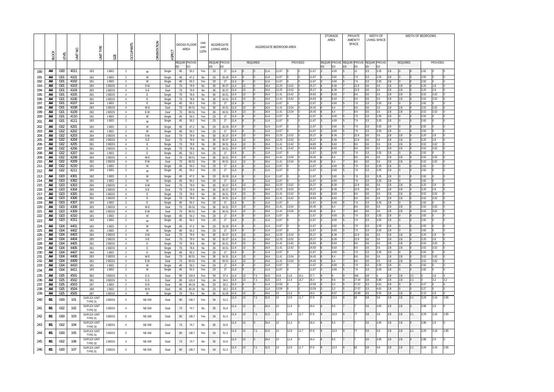| OF BEDROOMS  |                      |                     |
|--------------|----------------------|---------------------|
|              |                      |                     |
|              |                      |                     |
|              |                      |                     |
|              | <b>PROVIDED</b>      |                     |
|              |                      |                     |
| 2.82         | 0                    | 0                   |
| 2.82         | 0                    | 0                   |
| 2.82<br>3.25 | 0<br>2.8             | 0<br>0              |
| 3.25         | 2.8                  | 0                   |
| 3.02         | 3.02                 | 0                   |
| 3.02<br>2.82 | 3.02<br>$\mathbf{0}$ | 0<br>0              |
| 3.02         | 3.02                 | 0                   |
| 3.02         | 3.02                 | 0                   |
| 2.82<br>2.82 | 0<br>0               | 0<br>0              |
| 2.82         | 0                    | 0                   |
| 2.82         | $\mathbf 0$          | 0                   |
| 3.25         | 2.8                  | 0                   |
| 3.25         | 2.8                  | 0                   |
| 3.02<br>3.02 | 3.02<br>3.02         | 0<br>$\Omega$       |
| 2.82         | 0                    | 0                   |
| 3.02         | 3.02                 | 0                   |
| 3.02<br>2.82 | 3.02<br>0            | 0<br>0              |
| 2.82         | 0                    | 0                   |
| 2.82         | 0                    | 0                   |
| 2.82         | 0                    | 0                   |
| 3.25         | 2.8                  | 0                   |
| 3.25<br>3.02 | 2.8<br>3.02          | 0<br>0              |
| 3.02         | 3.02                 | 0                   |
| 2.82         | 0                    | 0                   |
| 3.02<br>3.02 | 3.02<br>3.02         | 0<br>0              |
| 2.82         | 0                    | 0                   |
| 2.82         | 0                    | 0                   |
| 2.82         | 0                    | 0                   |
| 2.82         | 0                    | 0                   |
| 3.25<br>3.25 | 2.8<br>2.8           | 0<br>$\overline{0}$ |
| 3.02         | 3.02                 | 0                   |
| 3.02         | 3.02                 | 0                   |
| 2.82<br>3.02 | 0<br>3.02            | 0<br>0              |
| 3.02         | 3.02                 | 0                   |
| 2.82         | 0                    | 0                   |
| 2.82         | 0                    | 0                   |
| 3<br>3       | 2.8<br>3.2           | 3<br>3.2            |
| 3.27         | 0                    | 0                   |
| 3.27         | 0                    | 0                   |
| 3.13         | 2.9                  | 0                   |
| 3.29         | 3.16                 | 2.85                |
| 2.88         | 2.9                  | 0                   |
| 3.29         | 3.16                 | 2.85                |
| 2.88         | 2.9                  | 0                   |
| 3.29         | 3.16                 | 2.85                |
| 2.88         | 2.9                  | 0                   |
| 3.29         | 3.16                 | 2.85                |

|            | <b>BLOCK</b> | FVEL                               | $\geq$<br>Ξ  | TYPE<br>İM                    | SIZE             | CUPANTS<br>ς                     | ORIENTATION      | ASPECT         |          | <b>GROSS FLOOR</b><br>AREA | Unit<br>over<br>110% |           | AGGREGATE<br>LIVING AREA |              |                 |                 | AGGREGATE BEDROOM AREA |                |                |                 |                | <b>STORAGE</b><br>AREA |              | PRIVATE<br>AMENITY<br>SPACE                    |            | WIDTH OF<br><b>LIVING SPACE</b> |      |                |                 | WIDTH OF BEDROOMS |              |              |      |
|------------|--------------|------------------------------------|--------------|-------------------------------|------------------|----------------------------------|------------------|----------------|----------|----------------------------|----------------------|-----------|--------------------------|--------------|-----------------|-----------------|------------------------|----------------|----------------|-----------------|----------------|------------------------|--------------|------------------------------------------------|------------|---------------------------------|------|----------------|-----------------|-------------------|--------------|--------------|------|
|            |              |                                    |              |                               |                  |                                  |                  |                | ED       | Requir Provid<br>ED        |                      | ED        | REQUIR PROVID<br>ED      |              |                 | <b>REQUIRED</b> |                        |                |                | <b>PROVIDED</b> |                | <b>REQUIR</b><br>ED    | IED          | PROVID REQUIR PROVID REQUIR PROVID<br>ED<br>ED | ED         | ED                              |      |                | <b>REQUIRED</b> |                   |              | PROVIDED     |      |
| 190        | A4           | G00                                | 4011         | 1B3                           | 1 BED            | $\overline{2}$                   | W                | Single         | 45       | 50.2                       | Yes                  | 23        | 27                       | 11.4         |                 |                 | 11.4                   | 11.67          |                |                 | 11.67          |                        | 4.93         | 12                                             | 3.3        | 3.35                            |      | 2.8            |                 |                   | 2.82         |              |      |
| 191        | A4           | G01                                | 4101         | 1B2                           | 1 BED            | 2                                | W                | Single         | 45       | 47.2                       | No                   | 23        | 26.29                    | 11.4         |                 |                 | 11.4                   | 11.67          |                |                 | 11.67          |                        | 3.82         | 7.9                                            | 3.3        |                                 | 3.35 | 2.8            |                 |                   | 2.82         |              |      |
| 192        | A4           | G01                                | 4102         | 1B1                           | 1 BED            | $\overline{2}$                   | W                | Single         | 45       | 50.2                       | Yes                  | 23        | 27                       | 11.4         |                 |                 | 11.4                   | 11.67          |                |                 | 11.67          |                        | 4.93         | 7.9                                            | 3.3        |                                 | 3.35 | 2.8            |                 |                   | 2.82         |              |      |
| 193<br>194 | A4<br>A4     | G01<br>G <sub>01</sub>             | 4103<br>4104 | 2B4<br>2B5                    | 2 BEDS<br>2 BEDS | $\overline{4}$<br>$\overline{4}$ | S-W<br>$S-E$     | Dual<br>Dual   | 73<br>73 | 79.9<br>79.9               | No<br>No             | 30<br>30  | 30.37<br>30.37           | 11.4<br>11.4 | 13<br>13        |                 | 24.4<br>24.4           | 12.25<br>12.25 | 13.02<br>13.02 |                 | 25.27<br>25.27 |                        | 6.39<br>6.39 | 22.9<br>22.9                                   | 3.6<br>3.6 | 3.6<br>3.6                      |      | 2.8<br>$2.8\,$ | 2.8<br>2.8      |                   | 3.25<br>3.25 | 2.8<br>2.8   |      |
| 195        | A4           | G01                                | 4105         | 2B1                           | 2 BEDS           | $\overline{4}$                   | E                | Single         | 73       | 78.8                       | No                   | 30        | 34.51                    | 11.4         | 13              |                 | 24.4                   | 11.41          | 13.42          |                 | 24.83          |                        | 6.63         | 8.6                                            | 3.6        | 3.6                             |      | 2.8            | 2.8             |                   | 3.02         | 3.02         |      |
| 196        | A4           | G <sub>01</sub>                    | 4106         | 2B1                           | 2 BEDS           | $\overline{4}$                   | E                | Single         | 73       | 78.8                       | No                   | 30        | 34.51                    | 11.4         | 13              |                 | 24.4                   | 11.41          | 13.42          |                 | 24.83          |                        | 6.63         | 8.6                                            | 3.6        | 3.6                             |      | 2.8            | 2.8             |                   | 3.02         | 3.02         |      |
| 197        | A4           | G01                                | 4107         | <b>1B4</b>                    | 1 BED            | $\overline{2}$                   | E                | Single         | 45       | 50.2                       | Yes                  | 23        | 27                       | 11.4         |                 |                 | 11.4                   | 11.67          |                |                 | 11.67          |                        | 4.93         | 7.9                                            | 3.3        |                                 | 3.35 | 2.8            |                 |                   | 2.82         |              |      |
| 198<br>199 | A4<br>A4     | G <sub>01</sub><br>G01             | 4108<br>4109 | 2B3<br>2B2                    | 2 BEDS<br>2 BEDS | $\overline{4}$<br>$\overline{4}$ | W-E<br>E-W       | Dual<br>Dual   | 73<br>73 | 80.51<br>80.51             | Yes<br>Yes           | 30<br>30  | 34.51<br>34.51           | 11.4<br>11.4 | 13<br>13        |                 | 24.4<br>24.4           | 11.41<br>11.41 | 13.04<br>13.04 |                 | 24.45<br>24.45 |                        | 6.4<br>6.4   | 8.6<br>8.6                                     | 3.6<br>3.6 | 3.6<br>3.6                      |      | 2.8<br>2.8     | 2.8<br>2.8      |                   | 3.02<br>3.02 | 3.02<br>3.02 |      |
| 200        | A4           | G <sub>01</sub>                    | 4110         | <b>1B1</b>                    | 1 BED            | 2                                | ${\sf W}$        | Single         | 45       | 50.2                       | Yes                  | 23        | 27                       | 11.4         |                 |                 | 11.4                   | 11.67          |                |                 | 11.67          |                        | 4.93         | 7.9                                            | 3.3        |                                 | 3.35 | 2.8            |                 |                   | 2.82         |              |      |
| 201        | A4           | G <sub>01</sub>                    | 4111         | <b>1B3</b>                    | 1 BED            | $\overline{2}$                   | W                | Single         | 45       | 50.2                       | Yes                  | 23        | 27                       | 11.4         |                 |                 | 11.4                   | 11.67          |                |                 | 11.67          |                        | 4.93         | 7.9                                            | 3.3        |                                 | 3.35 | 2.8            |                 |                   | 2.82         |              |      |
| 202        | A4           | G02                                | 4201         | 1B2                           | 1 BED            | $\overline{2}$                   | W                | Single         | 45       | 47.2                       | No                   | 23        | 26.29                    | 11.4         |                 |                 | 11.4                   | 11.67          |                |                 | 11.67          |                        | 3.82         | 7.9                                            | 3.3        |                                 | 3.35 | 2.8            |                 |                   | 2.82         |              |      |
| 203        | A4           | G02                                | 4202         | <b>1B1</b>                    | 1 BED            | 2                                | W                | Single         | 45       | 50.2                       | Yes                  | 23        | 27                       | 11.4         |                 |                 | 11.4                   | 11.67          |                |                 | 11.67          |                        | 4.93         | 7.9                                            | 3.3        |                                 | 3.35 | 2.8            |                 |                   | 2.82         |              |      |
| 204<br>205 | A4<br>A4     | G02<br>G <sub>02</sub>             | 4203<br>4204 | 2B4<br>2B5                    | 2 BEDS<br>2 BEDS | $\overline{4}$<br>$\overline{4}$ | S-W<br>$S-E$     | Dual<br>Dual   | 73<br>73 | 79.9<br>79.9               | No<br>No             | 30<br>30  | 30.37<br>30.37           | 11.4<br>11.4 | 13<br>13        |                 | 24.4<br>24.4           | 12.25<br>12.25 | 13.02<br>13.02 |                 | 25.27<br>25.27 |                        | 6.39<br>6.39 | 22.9<br>22.9                                   | 3.6<br>3.6 | 3.6<br>3.6                      |      | 2.8<br>2.8     | 2.8<br>2.8      |                   | 3.25<br>3.25 | 2.8<br>2.8   |      |
| 206        | A4           | G <sub>02</sub>                    | 4205         | 2B1                           | 2 BEDS           | $\overline{4}$                   | E                | Single         | 73       | 78.8                       | No                   | 30        | 34.51                    | 11.4         | 13              |                 | 24.4                   | 11.41          | 13.42          |                 | 24.83          |                        | 6.63         | 8.6                                            | 3.6        | 3.6                             |      | 2.8            | 2.8             |                   | 3.02         | 3.02         |      |
| 207        | A4           | G02                                | 4206         | 2B1                           | 2 BEDS           | $\overline{4}$                   | E                | Single         | 73       | 78.8                       | No                   | 30        | 34.51                    | 11.4         | 13              |                 | 24.4                   | 11.41          | 13.42          |                 | 24.83          |                        | 6.63         | 8.6                                            | 3.6        | 3.6                             |      | 2.8            | 2.8             |                   | 3.02         | 3.02         |      |
| 208        | A4           | G02                                | 4207         | <b>1B4</b>                    | 1 BED            | 2                                | E                | Single         | 45       | 50.2                       | Yes                  | - 23      | 27                       | 11.4         |                 |                 | 11.4                   | 11.67          |                |                 | 11.67          |                        | 4.93         | 7.9                                            | 3.3        |                                 | 3.35 | 2.8            |                 |                   | 2.82         |              |      |
| 209<br>210 | A4<br>A4     | G <sub>02</sub><br>G <sub>02</sub> | 4208<br>4209 | 2B3<br>2B2                    | 2 BEDS<br>2 BEDS | $\overline{4}$<br>$\overline{4}$ | W-E<br>E-W       | Dual<br>Dual   | 73<br>73 | 80.51<br>80.51             | Yes<br>Yes           | 30<br>30  | 34.51<br>34.51           | 11.4<br>11.4 | 13<br>13        |                 | 24.4<br>24.4           | 11.41<br>11.41 | 13.04<br>13.04 |                 | 24.45<br>24.45 |                        | 6.4<br>6.4   | 8.6<br>8.6                                     | 3.6<br>3.6 | 3.6<br>3.6                      |      | 2.8<br>2.8     | 2.8<br>2.8      |                   | 3.02<br>3.02 | 3.02<br>3.02 |      |
| 211        | A4           | G02                                | 4210         | <b>1B1</b>                    | 1 BED            | 2                                | ${\sf W}$        | Single         | 45       | 50.2                       | Yes                  | 23        | 27                       | 11.4         |                 |                 | 11.4                   | 11.67          |                |                 | 1.67           |                        | 4.93         | 7.9                                            | 3.3        |                                 | 3.35 | 2.8            |                 |                   | 2.82         |              |      |
| 212        | A4           | G02                                | 4211         | <b>1B3</b>                    | 1 BED            | $\overline{2}$                   | W                | Single         | 45       | 50.2                       | Yes                  | 23        | 27                       | 11.4         |                 |                 | 11.4                   | 11.67          |                |                 | 11.67          |                        | 4.93         | 7.9                                            | 3.3        |                                 | 3.35 | 2.8            |                 |                   | 2.82         |              |      |
| 213        | A4           | G <sub>0</sub> 3                   | 4301         | 1B2                           | 1 BED            | 2                                | W                | Single         | 45       | 47.2                       | No                   | 23        | 26.29                    | 11.4         |                 |                 | 11.4                   | 11.67          |                |                 | 11.67          |                        | 3.82         | 7.9                                            | 3.3        |                                 | 3.35 | 2.8            |                 |                   | 2.82         |              |      |
| 214        | A4           | G03                                | 4302         | <b>1B1</b>                    | 1 BED            | $\overline{2}$                   | ${\sf W}$        | Single         | 45       | 50.2                       | Yes                  | 23        | 27                       | 11.4         |                 |                 | 11.4                   | 11.67          |                |                 | 11.67          |                        | 4.93         | 7.9                                            | 3.3        |                                 | 3.35 | 2.8            |                 |                   | 2.82         |              |      |
| 215        | A4           | G03                                | 4303         | 2B4                           | 2 BEDS           | $\overline{4}$                   | S-W              | Dual           | 73       | 79.9                       | No                   | 30        | 30.37                    | 11.4         | 13              |                 | 24.4                   | 12.25          | 13.02          |                 | 25.27          |                        | 6.39         | 22.9                                           | 3.6        | 3.6                             |      | 2.8            | $2.8\,$         |                   | 3.25         | 2.8          |      |
| 216<br>217 | A4<br>A4     | G03<br>G03                         | 4304<br>4305 | 2B5<br>2B1                    | 2 BEDS<br>2 BEDS | $\overline{4}$<br>$\overline{4}$ | $S-E$<br>E       | Dual<br>Single | 73<br>73 | 79.9<br>78.8               | No<br>No             | 30<br>30  | 30.37<br>34.51           | 11.4<br>11.4 | 13<br>13        |                 | 24.4<br>24.4           | 12.25<br>11.41 | 13.02<br>13.42 |                 | 25.27<br>24.83 |                        | 6.39<br>6.63 | 22.9<br>8.6                                    | 3.6<br>3.6 | 3.6<br>3.6                      |      | 2.8<br>2.8     | 2.8<br>2.8      |                   | 3.25<br>3.02 | 2.8<br>3.02  |      |
| 218        | A4           | G03                                | 4306         | 2B1                           | 2 BEDS           | $\overline{4}$                   | E                | Single         | 73       | 78.8                       | No                   | 30        | 34.51                    | 11.4         | 13              |                 | 24.4                   | 11.41          | 13.42          |                 | 24.83          |                        | 6.63         | 8.6                                            | 3.6        | 3.6                             |      | 2.8            | 2.8             |                   | 3.02         | 3.02         |      |
| 219        | A4           | G03                                | 4307         | <b>1B4</b>                    | 1 BED            | 2                                | E                | Single         | 45       | 50.2                       | Yes                  | 23        | 27                       | 11.4         |                 |                 | 11.4                   | 11.67          |                |                 | 11.67          |                        | 4.93         | 7.9                                            | 3.3        |                                 | 3.35 | 2.8            |                 |                   | 2.82         |              |      |
| 220        | A4           | G03                                | 4308         | 2B3                           | 2 BEDS           | $\overline{4}$                   | W-E              | Dual           | 73       | 80.51                      | Yes                  | 30        | 34.51                    | 11.4         | 13              |                 | 24.4                   | 11.41          | 13.04          |                 | 24.45          |                        | 6.4          | 8.6                                            | 3.6        | 3.6                             |      | 2.8            | 2.8             |                   | 3.02         | 3.02         |      |
| 221<br>222 | A4<br>A4     | G03<br>G03                         | 4309<br>4310 | 2B2<br><b>1B1</b>             | 2 BEDS<br>1 BED  | $\overline{4}$<br>2              | E-W<br>${\sf W}$ | Dual<br>Single | 73<br>45 | 80.51<br>50.2              | Yes<br>Yes           | 30<br>23  | 34.51<br>27              | 11.4<br>11.4 | 13              |                 | 24.4<br>11.4           | 11.41<br>11.67 | 13.04          |                 | 24.45<br>11.67 |                        | 4.93         | 8.6<br>7.9                                     | 3.6<br>3.3 | 3.6                             | 3.35 | 2.8<br>2.8     | 2.8             |                   | 3.02<br>2.82 | 3.02         |      |
| 223        | A4           | G03                                | 4311         | 1B3                           | 1 BED            | $\overline{2}$                   | W                | Single         | 45       | 50.2                       | Yes                  | 23        | 27                       | 11.4         |                 |                 | 11.4                   | 11.67          |                |                 | 11.67          |                        | 4.93         | 7.9                                            | 3.3        |                                 | 3.35 | 2.8            |                 |                   | 2.82         |              |      |
| 224        | A4           | G <sub>04</sub>                    | 4401         | 1B2                           | 1 BED            | 2                                | W                | Single         | 45       | 47.2                       | No                   | 23        | 26.29                    | 11.4         |                 |                 | 11.4                   | 11.67          |                |                 | 11.67          |                        | 3.82         | 7.9                                            | 3.3        |                                 | 3.35 | 2.8            |                 |                   | 2.82         |              |      |
| 225        | A4           | G <sub>04</sub>                    | 4402         | 1B1                           | 1 BED            | 2                                | W                | Single         | 45       | 50.2                       | Yes                  | 23        | 27                       | 11.4         |                 |                 | 11.4                   | 11.67          |                |                 | 11.67          |                        | 4.93         | 7.9                                            | 3.3        |                                 | 3.35 | 2.8            |                 |                   | 2.82         |              |      |
| 226        | A4           | G <sub>04</sub>                    | 4403         | 2B4                           | 2 BEDS           | $\overline{4}$                   | S-W              | Dual           | 73       | 79.9                       | No                   | 30        | 30.37                    | 11.4         | 13              |                 | 24.4                   | 12.25          | 13.02          |                 | 25.27          |                        | 6.39         | 22.9                                           | 3.6        | 3.6                             |      | 2.8            | 2.8             |                   | 3.25         | 2.8          |      |
| 227<br>228 | A4<br>A4     | G04<br>G <sub>04</sub>             | 4404<br>4405 | 2B5<br>2B1                    | 2 BEDS<br>2 BEDS | $\overline{4}$<br>4              | $S-E$<br>E.      | Dual<br>Single | 73<br>73 | 79.9<br>78.8               | No<br>No             | 30<br>30  | 30.37<br>34.51           | 11.4<br>11.4 | 13<br><b>13</b> |                 | 24.4<br>24.4           | 12.25<br>11.41 | 13.02<br>13.42 |                 | 25.27<br>24.83 |                        | 6.39<br>6.63 | 22.9<br>8.6                                    | 3.6<br>3.6 | 3.6<br>3.6                      |      | 2.8<br>2.8     | 2.8<br>2.8      |                   | 3.25<br>3.02 | 2.8<br>3.02  |      |
| 229        | A4           | G04                                | 4406         | 2B1                           | 2 BEDS           | $\overline{4}$                   | E                | Single         | 73       | 78.8                       | No                   | 30        | 34.51                    | 11.4         | 13              |                 | 24.4                   | 11.41          | 13.42          |                 | 24.83          |                        | 6.63         | 8.6                                            | 3.6        | 3.6                             |      | 2.8            | 2.8             |                   | 3.02         | 3.02         |      |
| 230        | A4           | G04                                | 4407         | <b>1B4</b>                    | 1 BED            | $\overline{2}$                   | E                | Single         | 45       | 50.2                       | Yes                  | 23        | 27                       | 11.4         |                 |                 | 11.4                   | 11.67          |                |                 | 11.67          |                        | 4.93         | 7.9                                            | 3.3        |                                 | 3.35 | 2.8            |                 |                   | 2.82         |              |      |
| 231        | A4           | G04                                | 4408         | 2B3                           | 2 BEDS           | 4                                | W-E              | Dual           | 73       | 80.51                      | Yes                  | 30        | 34.51                    | 11.4         | 13              |                 | 24.4                   | 11.41          | 13.04          |                 | 24.45          |                        | 6.4          | 8.6                                            | 3.6        | 3.6                             |      | 2.8            | 2.8             |                   | 3.02         | 3.02         |      |
| 232<br>233 | A4<br>A4     | G <sub>04</sub><br>G04             | 4409<br>4410 | 2B2<br>1B1                    | 2 BEDS<br>1 BED  | $\overline{4}$<br>2              | E-W<br>W         | Dual<br>Single | 73<br>45 | 80.51<br>50.2              | Yes<br>Yes           | 30<br>-23 | 34.51<br>27              | 11.4<br>11.4 | 13              |                 | 24.4<br>11.4           | 11.41<br>11.67 | 13.04          |                 | 24.45<br>11.67 |                        | 6.4<br>4.93  | 8.6<br>7.9                                     | 3.6<br>3.3 | 3.6                             | 3.35 | 2.8<br>2.8     | 2.8             |                   | 3.02<br>2.82 | 3.02         |      |
| 234        | A4           | G <sub>04</sub>                    | 4411         | 1B3                           | 1 BED            | $\overline{2}$                   | ${\sf W}$        | Single         | 45       | 50.2                       | Yes                  | 23        | 27                       | 11.4         |                 |                 | 11.4                   | 11.67          |                |                 | 11.67          |                        | 4.93         | 7.9                                            | 3.3        |                                 | 3.35 | 2.8            |                 |                   | 2.82         |              |      |
| 235        | A4           | G05                                | 4501         | 3B2                           | 3 BEDS           | -5                               | E-S              | Dual           | 90       | 104.6                      | Yes                  | 34        | 37.4                     | 11.4         | 13              | 7.1             | 31.5                   | 15.8           | 11.8           | 10.1            | 37.7           |                        |              | 260                                            | 3.8        |                                 |      | 2.8            | 2.8             | 2.1               |              | 2.8          |      |
| 236        | A4           | G05                                | 4502         | 3B1                           | 3 BEDS           | 5                                | E-S              | Dual           | 90       | 101.6                      | Yes                  | - 34      | 34.6                     | 11.4         | 13              | 7.1             | 31.5                   | 13.3           | 11.4           | 10.7            | 35.4           |                        | 9.6          | 27.44                                          | 3.8        | 5.88                            |      | 2.8            | 2.8             | 2.1               |              | 3.2          |      |
| 237        | A4           | G05                                | 4503         | 1B7                           | 1 BED            | $\overline{2}$                   | E-N              | Dual           | 45       | 49.19                      | No                   | -23       | 30.2                     | 11.4         |                 |                 | 11.4                   | 13.59          |                |                 | 13.59          |                        | 3.2          | 27.07                                          | 3.3        | 4.61                            |      | 2.8            |                 |                   | 3.27         |              |      |
| 238<br>239 | A4<br>A4     | G05<br>G05                         | 4504<br>4505 | <b>1B6</b><br>2B7             | 1 BED<br>2 BEDS  | $\overline{2}$<br>$\overline{4}$ | W-N<br>W         | Dual<br>Single | 45<br>73 | 49.19<br>79.4              | No<br>No             | 23<br>30  | 30.2<br>41.05            | 11.4<br>11.4 | 13              |                 | 11.4<br>24.4           | 13.59<br>13    | 11.4           |                 | 13.59<br>24.4  |                        | 3.2<br>6.07  | 27.07<br>20.88                                 | 3.3<br>3.6 | 4.61<br>5.55                    |      | 2.8<br>2.8     | 2.8             |                   | 3.27<br>3.13 | 2.9          |      |
|            |              |                                    |              | <b>DUPLEX UNIT</b>            |                  |                                  |                  |                |          |                            |                      |           |                          | 11.4         | <b>13</b>       | 7.1             | 31.5                   | 13             | 12.9           | 11.7            | 37.6           |                        | 13.3         | 92                                             | 3.8        | 3.8                             |      | 2.8            | 2.8             | 2.1               | 3.29         | 3.16         | 2.85 |
| 240        | <b>B1</b>    | G00                                | 101          | TYPE 01                       | 3 BEDS           | 5                                | NE-SW            | Dual           | 90       | 136.7                      | Yes                  | 34        | 51.3                     |              |                 |                 |                        |                |                |                 |                |                        |              |                                                |            |                                 |      |                |                 |                   |              |              |      |
| 241        | <b>B1</b>    | G02                                | 102          | <b>DUPLEX UNIT</b>            | 2 BEDS           | 4                                | NE-SW            | Dual           | 73       | 74.7                       | No                   | 30        | 31.8                     | 11.4         | <b>13</b>       | $\overline{0}$  | 24.4                   | 13             | 11.4           | n               | 24.4           |                        | 6.5          |                                                | 3.6        |                                 | 4.95 | 2.8            | 2.8             |                   | 2.88         | 2.9          |      |
|            |              |                                    |              | TYPE 02<br><b>DUPLEX UNIT</b> |                  |                                  |                  |                |          |                            |                      |           |                          | 11.4         | $ 13\rangle$    | 7.1             | 31.5                   | 13             | 12.9           | 11.7            | 37.6           |                        | 13.3         | 77<br>9                                        | 3.8        | 3.8                             |      | 2.8            | 2.8             | 2.1               | 3.29         | 3.16         | 2.85 |
| 242        | B1           | G00                                | 103          | TYPE 01                       | 3 BEDS           | 5                                | NE-SW            | Dual           | 90       | 136.7                      | Yes                  | 34        | 51.3                     |              |                 |                 |                        |                |                |                 |                |                        |              |                                                |            |                                 |      |                |                 |                   |              |              |      |
| 243        | B1           | G02                                | 104          | DUPLEX UNIT                   | 2 BEDS           | 4                                | NE-SW            | Dual           | 73       | 74.7                       | No                   | 30        | 31.8                     | 11.4         | 13              | $\overline{0}$  | 24.4                   | 13             | 11.4           | n               | 24.4           |                        | 6.5          |                                                | 3.6        |                                 | 4.95 | 2.8            | 2.8             |                   | 2.88         | 2.9          |      |
|            |              |                                    |              | TYPE 02<br><b>DUPLEX UNIT</b> |                  |                                  |                  |                |          |                            |                      |           |                          | 11.4         | 13              | 7.1             | 31.5                   | 13             | 12.9           | 11.7            | 37.6           |                        | 13.3         | 77<br>9                                        | 3.8        | 3.8                             |      | 2.8            | 2.8             | 2.1               | 3.29         | 3.16         | 2.85 |
| 244        | <b>B1</b>    | G00                                | 105          | TYPE 01                       | 3 BEDS           | $5\overline{)}$                  | NE-SW            | Dual           | 90       | 136.7                      | Yes                  | 34        | 51.3                     |              |                 |                 |                        |                |                |                 |                |                        |              |                                                |            |                                 |      |                |                 |                   |              |              |      |
| 245        | <b>B1</b>    | G02                                | 106          | <b>DUPLEX UNIT</b><br>TYPE 02 | 2 BEDS           | 4                                | NE-SW            | Dual           | 73       | 74.7                       | No                   | 30        | 31.8                     | 11.4         | 13              | $\overline{0}$  | 24.4                   | 13             | 11.4           |                 | 24.4           |                        | 6.5          |                                                | 3.6        |                                 | 4.95 | 2.8            | 2.8             |                   | 2.88         | 2.9          |      |
| 246        | <b>B1</b>    | G00                                | 107          | <b>DUPLEX UNIT</b>            | 3 BEDS           | $5\overline{)}$                  | NE-SW            | Dual           | 90       | 136.7                      | Yes                  | 34        | 51.3                     | 11.4         | 13              | 7.1             | 31.5                   | 13             | 12.9           | 11.7            | 37.6           |                        | 13.3         | 82<br>9                                        | 3.8        | 3.8                             |      | 2.8            | 2.8             | 2.1               | 3.29         | 3.16         | 2.85 |
|            |              |                                    |              | TYPE 01                       |                  |                                  |                  |                |          |                            |                      |           |                          |              |                 |                 |                        |                |                |                 |                |                        |              |                                                |            |                                 |      |                |                 |                   |              |              |      |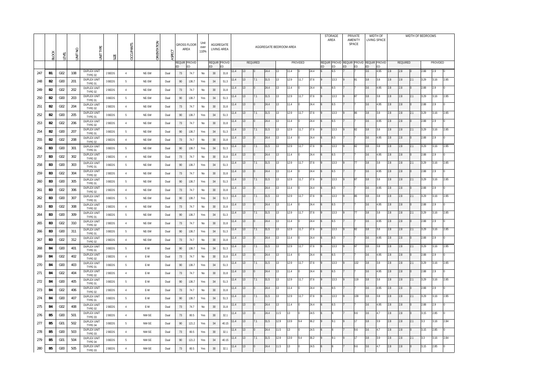|            | <b>BLOCK</b>   | EVEI                  | z<br>$\overline{M}$ | Ξ                                                   | SIZE             | <b>OCCUPANTS</b>   | ORIENTATION | 5            |          | <b>GROSS FLOOR</b><br>AREA | Unit<br>over<br>110% |          | AGGREGATE<br>LIVING AREA |              |              |                | AGGREGATE BEDROOM AREA |          |              |          |              | AREA | STORAGE     |    | <b>PRIVATE</b><br>AMENITY<br>SPACE              | <b>WIDTH OF</b> | LIVING SPACE |            |                 |     | WIDTH OF BEDROOMS |             |      |
|------------|----------------|-----------------------|---------------------|-----------------------------------------------------|------------------|--------------------|-------------|--------------|----------|----------------------------|----------------------|----------|--------------------------|--------------|--------------|----------------|------------------------|----------|--------------|----------|--------------|------|-------------|----|-------------------------------------------------|-----------------|--------------|------------|-----------------|-----|-------------------|-------------|------|
|            |                |                       |                     |                                                     |                  |                    |             |              | ED.      | REQUIR PROVID              |                      | ED       | REQUIR PROVID<br>ED.     |              |              | REQUIRED       |                        |          |              | PROVIDED |              | ED   | ED          | ED | Requir Provid Requir Provid Requir Provid<br>ED | ED              | ED           |            | <b>REQUIRED</b> |     |                   | PROVIDED    |      |
| 247        | B1             | G02                   | 108                 | <b>DUPLEX UNIT</b><br>TYPE 02                       | 2 BEDS           | 4                  | NE-SW       | Dual         | 73       | 74.7                       | No                   | 30       | 31.8                     | 11.4         | 13           |                | 24.4                   | 13       | 11.4         |          | 24.4         |      | 6.5         |    |                                                 | 3.6             | 4.95         | 2.8        | 2.8             |     | 2.88              | 2.9         |      |
| 248        | B <sub>2</sub> | G <sub>0</sub>        | 201                 | <b>DUPLEX UNIT</b><br>TYPE 01                       | 3 BEDS           | - 5                | NE-SW       | Dual         | 90       | 136.7                      | Yes                  | 34       | 51.3                     | 11.4         | 13           | 7.1            | 31.5                   | 13       | 12.9         | 11.7     | 37.6         |      | 13.3        |    | 81                                              | 3.8             | 3.8          | 2.8        | 2.8             | 2.1 | 3.29              | 3.16        | 2.85 |
| 249        | B <sub>2</sub> | G <sub>02</sub>       | 202                 | <b>DUPLEX UNIT</b><br>TYPE 02                       | 2 BEDS           | 4                  | NE-SW       | Dual         | 73       | 74.7                       | No                   | 30       | 31.8                     | 11.4         | 13           |                | 24.4                   | 13       | 11.4         |          | 24.4         |      | 6.5         |    |                                                 | 3.6             | 4.95         | 2.8        | 2.8             |     | 2.88              | 2.9         |      |
| 250        | B <sub>2</sub> | G00                   | 203                 | <b>DUPLEX UNIT</b><br>TYPE 01                       | 3 BEDS           | -5                 | NE-SW       | Dual         | 90       | 136.7                      | Yes                  | 34       | 51.3                     | 11.4         | 13           | 7.1            | 31.5                   | 13       | 12.9         | 11.7     | 37.6         |      | 13.3        |    | 87                                              | 3.8             | 3.8          | 2.8        | 2.8             | 2.1 | 3.29              | 3.16        | 2.85 |
| 251        | B <sub>2</sub> | G <sub>02</sub>       | 204                 | <b>DUPLEX UNIT</b><br>TYPE 02                       | 2 BEDS           | 4                  | NE-SW       | Dual         | 73       | 74.7                       | No                   | 30       | 31.8                     | 11.4         | 13           |                | 24.4                   | 13       | 11.4         |          | 24.4         |      | 6.5         |    |                                                 | 3.6             | 4.95         | 2.8        | 2.8             |     | 2.88              | 2.9         |      |
| 252        | B <sub>2</sub> | G <sub>0</sub>        | 205                 | <b>DUPLEX UNIT</b><br>TYPE 01                       | 3 BEDS           | - 5                | NE-SW       | Dual         | 90       | 136.7                      | Yes                  | 34       | 51.3                     | 11.4         | 13           | 7.1            | 31.5                   | 13       | 12.9         | 11.7     | 37.6         |      | 13.3        |    | 86                                              | 3.8             | 3.8          | 2.8        | 2.8             | 2.1 | 3.29              | 3.16        | 2.85 |
| 253        | B <sub>2</sub> | G <sub>02</sub>       | 206                 | <b>DUPLEX UNIT</b><br>TYPE 02                       | 2 BEDS           | 4                  | NE-SW       | Dual         | 73       | 74.7                       | No                   | 30       | 31.8                     | 11.4         | 13           |                | 24.4                   | 13       | 11.4         |          | 24.4         |      | 6.5         |    |                                                 | 3.6             | 4.95         | 2.8        | 2.8             |     | 2.88              | 2.9         |      |
| 254        | B <sub>2</sub> | G <sub>00</sub>       | 207                 | <b>DUPLEX UNIT</b><br>TYPE 01                       | 3 BEDS           | -5                 | NE-SW       | Dual         | 90       | 136.7                      | Yes                  | 34       | 51.3                     | 11.4         | 13           | 7.1            | 31.5                   | 13       | 12.9         | 11.7     | 37.6         |      | 13.3        |    | 82                                              | 3.8             | 3.8          | 2.8        | 2.8             | 2.1 | 3.29              | 3.16        | 2.85 |
| 255        | B <sub>2</sub> | G <sub>02</sub>       | 208                 | <b>DUPLEX UNIT</b><br>TYPE 02                       | 2 BEDS           | $\overline{4}$     | NE-SW       | Dual         | 73       | 74.7                       | No                   | 30       | 31.8                     | 11.4         | 13           |                | 24.4                   | 13       | 11.4         |          | 24.4         |      | 6.5         |    |                                                 | 3.6             | 4.95         | 2.8        | 2.8             |     | 2.88              | 2.9         |      |
| 256        | B <sub>3</sub> | G <sub>0</sub>        | 301                 | DUPLEX UNIT<br>TYPE 01                              | 3 BEDS           | - 5                | NE-SW       | Dual         | 90       | 136.7                      | Yes                  | 34       | 51.3                     | 11.4         | 13           | 7.1            | 31.5                   | 13       | 12.9         | 11.7     | 37.6         |      | 13.3        |    | 82                                              | 3.8             | 3.8          | 2.8        | 2.8             | 2.1 | 3.29              | 3.16        | 2.85 |
| 257        | B <sub>3</sub> | G <sub>02</sub>       | 302                 | DUPLEX UNIT<br>TYPE 02                              | 2 BEDS           | 4                  | NE-SW       | Dual         | 73       | 74.7                       | No                   | 30       | 31.8                     | 11.4         | 13           |                | 24.4                   | 13       | 11.4         |          | 24.4         |      | 6.5         |    |                                                 | 3.6             | 4.95         | 2.8        | 2.8             |     | 2.88              | 2.9         |      |
| 258        | B <sub>3</sub> | G <sub>00</sub>       | 303                 | <b>DUPLEX UNIT</b><br>TYPE 01                       | 3 BEDS           | -5                 | NE-SW       | Dual         | 90       | 136.7                      | Yes                  | 34       | 51.3                     | 11.4         | 13           | 7.1            | 31.5                   | 13       | 12.9         | 11.7     | 37.6         |      | 13.3        |    | 77                                              | 3.8             | 3.8          | 2.8        | 2.8             | 2.1 | 3.29              | 3.16        | 2.85 |
| 259        | B <sub>3</sub> | G <sub>02</sub>       | 304                 | <b>DUPLEX UNIT</b><br>TYPE 02                       | 2 BEDS           | 4                  | NE-SW       | Dual         | 73       | 74.7                       | No                   | 30       | 31.8                     | 11.4         | 13           |                | 24.4                   | 13       | 11.4         |          | 24.4         |      | 6.5         |    |                                                 | 3.6             | 4.95         | 2.8        | 2.8             |     | 2.88              | 2.9         |      |
| 260        | B <sub>3</sub> | G <sub>0</sub>        | 305                 | <b>DUPLEX UNIT</b><br>TYPE 01                       | 3 BEDS           | 5                  | NE-SW       | Dual         | 90       | 136.7                      | Yes                  | 34       | 51.3                     | 11.4         | 13           | 7.1            | 31.5                   | 13       | 12.9         | 11.7     | 37.6         |      | 13.3        |    | 87                                              | 3.8             | 3.8          | 2.8        | 2.8             | 2.1 | 3.29              | 3.16        | 2.85 |
| 261        | B <sub>3</sub> | G <sub>02</sub>       | 306                 | <b>DUPLEX UNIT</b><br>TYPE 02                       | 2 BEDS           | 4                  | NE-SW       | Dual         | 73       | 74.7                       | No                   | 30       | 31.8                     | 11.4         | 13           |                | 24.4                   | 13       | 11.4         |          | 24.4         |      | 6.5         |    |                                                 | 3.6             | 4.95         | 2.8        | 2.8             |     | 2.88              | 2.9         |      |
| 262        | B <sub>3</sub> | G <sub>0</sub>        | 307                 | <b>DUPLEX UNIT</b><br>TYPE 01<br><b>DUPLEX UNIT</b> | 3 BEDS           | -5                 | NE-SW       | Dual         | 90       | 136.7                      | Yes                  | 34       | 51.3                     | 11.4<br>11.4 | 13<br>13     | 7.1            | 31.5<br>24.4           | 13<br>13 | 12.9<br>11.4 | 11.7     | 37.6<br>24.4 |      | 13.3<br>6.5 |    | 86                                              | 3.8<br>3.6      | 3.8<br>4.95  | 2.8<br>2.8 | 2.8<br>2.8      | 2.1 | 3.29<br>2.88      | 3.16<br>2.9 | 2.85 |
| 263        | B <sub>3</sub> | G <sub>02</sub>       | 308                 | TYPE 02<br><b>DUPLEX UNIT</b>                       | 2 BEDS           | 4                  | NE-SW       | Dual         | 73       | 74.7                       | No                   | 30       | 31.8                     | 11.4         | 13           | 7.1            | 31.5                   | 13       | 12.9         | 11.7     | 37.6         |      | 13.3        |    | 77                                              | 3.8             | 3.8          | 2.8        | 2.8             | 2.1 | 3.29              | 3.16        | 2.85 |
| 264        | B <sub>3</sub> | G <sub>0</sub>        | 309                 | TYPE 01<br><b>DUPLEX UNIT</b>                       | 3 BEDS           | 5                  | NE-SW       | Dual         | 90       | 136.7                      | Yes                  | 34       | 51.3                     | 11.4         | 13           |                | 24.4                   | 13       | 11.4         |          | 24.4         |      | 6.5         |    |                                                 | 3.6             | 4.95         | 2.8        | 2.8             |     | 2.88              | 2.9         |      |
| 265        | B <sub>3</sub> | G <sub>02</sub>       | 310                 | TYPE 02<br><b>DUPLEX UNIT</b>                       | 2 BEDS           | 4                  | NE-SW       | Dual         | 73       | 74.7                       | No                   | 30       | 31.8                     | 11.4         | <b>13</b>    | 7.1            | 31.5                   | 13       | 12.9         | 11.7     | 37.6         |      | 13.3        |    | 82                                              | 3.8             | 3.8          | 2.8        | 2.8             | 2.1 | 3.29              | 3.16        | 2.85 |
| 266        | B <sub>3</sub> | G <sub>0</sub>        | 311                 | TYPE 01<br><b>DUPLEX UNIT</b>                       | 3 BEDS           | -5                 | NE-SW       | Dual         | 90       | 136.7                      | Yes                  | 34       | 51.3                     | 11.4         | <b>13</b>    |                | 24.4                   | 13       | 11.4         |          | 24.4         |      | 6.5         |    |                                                 | 3.6             | 4.95         | 2.8        | 2.8             |     | 2.88              | 2.9         |      |
| 267        | B <sub>3</sub> | G02                   | 312                 | TYPE 02<br><b>DUPLEX UNIT</b>                       | 2 BEDS           | $\mathbf{\Lambda}$ | NE-SW       | Dual         | 73       | 74.7                       | No                   | 30       | 31.8                     | 11.4         | <b>13</b>    | 7.1            | 31.5                   | 13       | 12.9         | 11.7     | 37.6         |      | 13.3        |    | 97                                              | 3.8             | 3.8          | 2.8        | 2.8             | 2.1 | 3.29              | 3.16        | 2.85 |
| 268<br>269 | B4<br>B4       | G <sub>0</sub><br>G02 | 401<br>402          | TYPE 01<br><b>DUPLEX UNIT</b>                       | 3 BEDS<br>2 BEDS | 5                  | E-W<br>E-W  | Dual         | 90       | 136.7<br>74.7              | Yes                  | 34<br>30 | 51.3<br>31.8             | 11.4         | 13           |                | 24.4                   | 13       | 11.4         |          | 24.4         |      | 6.5         |    |                                                 | 3.6             | 4.95         | 2.8        | 2.8             |     | 2.88              | 2.9         |      |
| 270        | B4             | G <sub>00</sub>       | 403                 | TYPE 02<br><b>DUPLEX UNIT</b>                       | 3 BEDS           | 4<br>5             | E-W         | Dual<br>Dual | 73<br>90 | 136.7                      | No<br>Yes            | 34       | 51.3                     | 11.4         | 13           | 7.1            | 31.5                   | 13       | 12.9         | 11.7     | 37.6         |      | 13.3        |    | 132                                             | 3.8             | 3.8          | 2.8        | 2.8             | 2.1 | 3.29              | 3.16        | 2.85 |
| 271        | <b>B4</b>      | G02                   | 404                 | TYPE 01<br><b>DUPLEX UNIT</b>                       | 2 BEDS           | 4                  | E-W         | Dual         | 73       | 74.7                       | No                   | 30       | 31.8                     | 11.4         | $ 13\rangle$ | $\overline{0}$ | 24.4                   | 13       | 11.4         |          | 24.4         |      | 6.5         |    |                                                 | 3.6             | 4.95         | 2.8        | 2.8             | n   | 2.88              | 2.9         |      |
| 272        | B4             | G00                   | 405                 | TYPE 02<br><b>DUPLEX UNIT</b>                       | 3 BEDS           | -5                 | E-W         | Dual         | 90       | 136.7                      | Yes                  | 34       | 51.3                     | 11.4         | $ 13\rangle$ | 7.1            | 31.5                   | 13       | 12.9         | 11.7     | 37.6         |      | 13.3        |    | 119                                             | 3.8             | 3.8          | 2.8        | 2.8             | 2.1 | 3.29              | 3.16        | 2.85 |
| 273        | B4             | G02                   | 406                 | TYPE 01<br>DUPLEX UNIT                              | 2 BEDS           | 4                  | E-W         | Dual         | 73       | 74.7                       | No                   | 30       | 31.8                     | 11.4         | $ 13\rangle$ |                | 24.4                   | 13       | 11.4         |          | 24.4         |      | 6.5         |    |                                                 | 3.6             | 4.95         | 2.8        | 2.8             |     | 2.88              | 2.9         |      |
| 274        | B4             | G00                   | 407                 | TYPE 02<br><b>DUPLEX UNIT</b><br>TYPE 01            | 3 BEDS           | - 5                | E-W         | Dual         | 90       | 136.7                      | Yes                  | 34       | 51.3                     | 11.4         | $ 13\rangle$ | 7.1            | 31.5                   | 13       | 12.9         | 11.7     | 37.6         |      | 13.3        |    | 139                                             | 3.8             | 3.8          | 2.8        | 2.8             | 2.1 | 3.29              | 3.16        | 2.85 |
| 275        | B4             | G02                   | 408                 | DUPLEX UNIT                                         | 2 BEDS           | 4                  | E-W         | Dual         | 73       | 74.7                       | No                   | 30       | 31.8                     | 11.4         | $ 13\rangle$ |                | 24.4                   | 13       | 11.4         |          | 24.4         |      | 6.5         |    |                                                 | 3.6             | 4.95         | 2.8        | 2.8             |     | 2.88              | 2.9         |      |
| 276        | B5             | G00                   | 501                 | TYPE 02<br><b>DUPLEX UNIT</b><br>TYPE 03            | 2 BEDS           | 4                  | NW-SE       | Dual         | 73       | 80.5                       | Yes                  | 30       | 32.1                     | 11.4         | $ 13\rangle$ |                | 24.4                   | 11.5     | 13           |          | 24.5         |      |             |    | 9.6                                             | 3.6             | 4.7          | 2.8        | 2.8             |     | 3.15              | 2.85        |      |
| 277        | B5             | G <sub>01</sub>       | 502                 | <b>DUPLEX UNIT</b><br>TYPE 04                       | 3 BEDS           | 5                  | NW-SE       | Dual         | 90       | 121.2                      | Yes                  | 34       | 40.15                    | 11.4         | 13           | 7.1            | 31.5                   | 12.9     | 13.9         | 9.4      | 36.2         |      | 9.1         |    | 17                                              | 3.8             | 3.9          | 2.8        | 2.8             | 2.1 | 3.3               | 3.16        | 2.84 |
| 278        | B5             | G <sub>00</sub>       | 503                 | DUPLEX UNIT<br>TYPE 03                              | 2 BEDS           | 4                  | NW-SE       | Dual         | 73       | 80.5                       | Yes                  | 30       | 32.1                     | 11.4         | 13           |                | 24.4                   | 11.5     | 13           |          | 24.5         |      |             |    | 9.6                                             | 3.6             | 4.7          | 2.8        | 2.8             |     | 3.15              | 2.85        |      |
| 279        | B5             | G <sub>01</sub>       | 504                 | DUPLEX UNIT<br>TYPE 04                              | 3 BEDS           | 5                  | NW-SE       | Dual         | 90       | 121.2                      | Yes                  | 34       | 40.15                    | 11.4         | 13           | 7.1            | 31.5                   | 12.9     | 13.9         | 9.4      | 36.2         |      | 9.1         |    | 17                                              | 3.8             | 3.9          | 2.8        | 2.8             | 2.1 | 3.3               | 3.16        | 2.84 |
| 280        | B <sub>5</sub> | G <sub>00</sub>       | 505                 | <b>DUPLEX UNIT</b><br>TYPE 03                       | 2 BEDS           | 4                  | NW-SE       | Dual         | 73       | 80.5                       | Yes                  | 30       | 32.1                     | 11.4         | 13           |                | 24.4                   | 11.5     | 13           |          | 24.5         |      |             |    | 9.6                                             | 3.6             | 4.7          | 2.8        | 2.8             |     | 3.15              | 2.85        |      |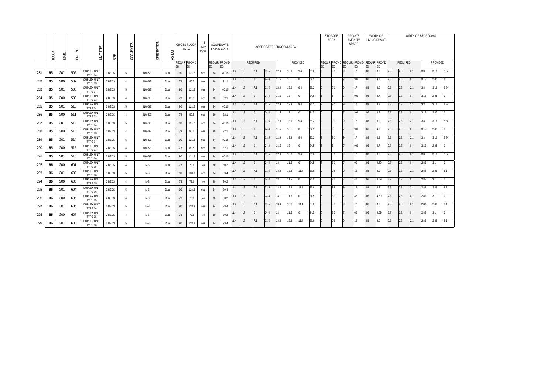|     | <b>BLOCK</b>   | LEVEL           | $\circ$<br>$\geq$<br>$\overline{5}$ | JNIT TYPE                     | SIZE   | CCUPANTS       | ORIENTATION | ASPECT |    | <b>GROSS FLOOR</b><br>AREA | Unit<br>over<br>110% | AGGREGATE<br>LIVING AREA |       |      |    |          | AGGREGATE BEDROOM AREA |      |      |          |      |           | <b>STORAGE</b><br>AREA |    | PRIVATE<br>AMENITY<br>SPACE                     |     | WIDTH OF<br>LIVING SPACE |     |          | WIDTH OF BEDROOMS |      |          |      |
|-----|----------------|-----------------|-------------------------------------|-------------------------------|--------|----------------|-------------|--------|----|----------------------------|----------------------|--------------------------|-------|------|----|----------|------------------------|------|------|----------|------|-----------|------------------------|----|-------------------------------------------------|-----|--------------------------|-----|----------|-------------------|------|----------|------|
|     |                |                 |                                     |                               |        |                |             |        | ED | REQUIR PROVID<br><b>ED</b> |                      | REQUIR PROVID<br>ED.     | ED    |      |    | REQUIRED |                        |      |      | PROVIDED |      | <b>ED</b> | ED                     | ED | REQUIR PROVID REQUIR PROVID REQUIR PROVID<br>ED | ED  |                          |     | REQUIRED |                   |      | PROVIDED |      |
| 281 | B5             | G <sub>01</sub> | 506                                 | <b>DUPLEX UNIT</b><br>TYPE 04 | 3 BEDS | 5              | NW-SE       | Dual   | 90 | 121.2                      | Yes                  | 34                       | 40.15 | 1.4  |    | 7.1      | 31.5                   | 12.9 | 13.9 | 9.4      | 36.2 |           | 9.1                    |    | 117                                             | 3.8 | 3.9                      | 2.8 | 2.8      | 2.1               | 3.3  | 3.16     | 2.84 |
| 282 | B <sub>5</sub> | G <sub>0</sub>  | 507                                 | <b>DUPLEX UNIT</b><br>TYPE 03 | 2 BEDS | 4              | NW-SE       | Dual   | 73 | 80.5                       | Yes                  | 30                       | 32.1  | 11.4 | 13 |          | 24.4                   | 11.5 | 13   |          | 24.5 |           |                        |    | 9.6                                             | 3.6 | 4.7                      | 2.8 | 2.8      |                   | 3.15 | 2.85     |      |
| 283 | B <sub>5</sub> | G01             | 508                                 | <b>DUPLEX UNIT</b><br>TYPE 04 | 3 BEDS | 5              | NW-SE       | Dual   | 90 | 121.2                      | Yes                  | 34                       | 40.15 | 1.4  | 13 | 7.1      | 31.5                   | 12.9 | 13.9 | 9.4      | 36.2 |           | 9.1                    |    | 117                                             | 3.8 | 3.9                      | 2.8 | 2.8      | 2.1               | 3.3  | 3.16     | 2.84 |
| 284 | B <sub>5</sub> | G <sub>0</sub>  | 509                                 | <b>DUPLEX UNIT</b><br>TYPE 03 | 2 BEDS | $\overline{4}$ | NW-SE       | Dual   | 73 | 80.5                       | Yes                  | 30                       | 32.1  | 11.4 | 13 |          | 24.4                   | 11.5 | 13   |          | 24.5 |           |                        |    | 9.6                                             | 3.6 | 4.7                      | 2.8 | 2.8      |                   | 3.15 | 2.85     |      |
| 285 | B <sub>5</sub> | G <sub>01</sub> | 510                                 | <b>DUPLEX UNIT</b><br>TYPE 04 | 3 BEDS | -5             | NW-SE       | Dual   | 90 | 121.2                      | Yes                  | 34                       | 40.15 | 11.4 | 13 | 7.1      | 31.5                   | 12.9 | 13.9 | 9.4      | 36.2 |           | 9.1                    |    | 117                                             | 3.8 | 3.9                      | 2.8 | 2.8      | 2.1               | 3.3  | 3.16     | 2.84 |
| 286 | B <sub>5</sub> | G <sub>0</sub>  | 511                                 | <b>DUPLEX UNIT</b><br>TYPE 03 | 2 BEDS | 4              | NW-SE       | Dual   | 73 | 80.5                       | Yes                  | 30                       | 32.1  | 11.4 | 13 |          | 24.4                   | 11.5 | 13   |          | 24.5 |           |                        |    | 9.6                                             | 3.6 | 4.7                      | 2.8 | 2.8      |                   | 3.15 | 2.85     |      |
| 287 | B5             | G01             | 512                                 | <b>DUPLEX UNIT</b><br>TYPE 04 | 3 BEDS | -5             | NW-SE       | Dual   | 90 | 121.2                      | Yes                  | 34                       | 40.15 | 1.4  | 13 | 7.1      | 31.5                   | 12.9 | 13.9 | 9.4      | 36.2 |           | 9.1                    |    | 117                                             | 3.8 | 3.9                      | 2.8 | 2.8      | 2.1               | 3.3  | 3.16     | 2.84 |
| 288 | B5             | G <sub>0</sub>  | 513                                 | <b>DUPLEX UNIT</b><br>TYPE 03 | 2 BEDS | $\overline{4}$ | NW-SE       | Dual   | 73 | 80.5                       | Yes                  | 30                       | 32.1  | 11.4 | 13 | $\Omega$ | 24.4                   | 11.5 | 13   |          | 24.5 |           |                        |    | 9.6                                             | 3.6 | 4.7                      | 2.8 | 2.8      |                   | 3.15 | 2.85     |      |
| 289 | B <sub>5</sub> | G <sub>01</sub> | 514                                 | <b>DUPLEX UNIT</b><br>TYPE 04 | 3 BEDS | -5             | NW-SE       | Dual   | 90 | 121.2                      | Yes                  | 34                       | 40.15 | 11.4 | 13 | 7.1      | 31.5                   | 12.9 | 13.9 | 9.4      | 36.2 |           | 9.1                    |    | 117                                             | 3.8 | 3.9                      | 2.8 | 2.8      | 2.1               | 3.3  | 3.16     | 2.84 |
| 290 | B <sub>5</sub> | G <sub>0</sub>  | 515                                 | <b>DUPLEX UNIT</b><br>TYPE 03 | 2 BEDS | 4              | NW-SE       | Dual   | 73 | 80.5                       | Yes                  | 30 <sup>°</sup>          | 32.1  | 11.4 | 13 |          | 24.4                   | 11.5 | 13   |          | 24.5 |           |                        |    | 9.6                                             | 3.6 | 4.7                      | 2.8 | 2.8      |                   | 3.15 | 2.85     |      |
| 291 | B <sub>5</sub> | G01             | 516                                 | <b>DUPLEX UNIT</b><br>TYPE 04 | 3 BEDS | -5             | NW-SE       | Dual   | 90 | 121.2                      | Yes                  | 34                       | 40.15 | 11.4 | 13 | 7.1      | 31.5                   | 12.9 | 13.9 | 9.4      | 36.2 |           | 9.1                    |    | 117                                             | 3.8 | 3.9                      | 2.8 | 2.8      | 2.1               | 3.3  | 3.16     | 2.84 |
| 292 | B6             | G <sub>00</sub> | 601                                 | <b>DUPLEX UNIT</b><br>TYPE 05 | 2 BEDS | 4              | $N-S$       | Dual   | 73 | 79.6                       | No                   | 30 <sup>°</sup>          | 30.2  | 11.4 | 13 |          | 24.4                   | 13   | 11.5 |          | 24.5 |           | 8.3                    |    | 90                                              | 3.6 | 4.69                     | 2.8 | 2.8      |                   | 2.85 | 3.1      |      |
| 293 | B6             | G <sub>01</sub> | 602                                 | <b>DUPLEX UNIT</b><br>TYPE 06 | 3 BEDS | -5             | $N-S$       | Dual   | 90 | 128.3                      | Yes                  | 34                       | 39.4  | 11.4 | 13 | 7.1      | 31.5                   | 13.4 | 13.8 | 11.4     | 38.6 |           | 9.8                    |    | $ 12\rangle$                                    | 3.8 | 3.9                      | 2.8 | 2.8      | 2.1               | 2.88 | 2.88     | 3.1  |
| 294 | B6             | G <sub>0</sub>  | 603                                 | <b>DUPLEX UNIT</b><br>TYPE 05 | 2 BEDS | $\overline{4}$ | $N-S$       | Dual   | 73 | 79.6                       | No                   | 30                       | 30.2  | 1.4  | 13 | $\Omega$ | 24.4                   | 13   | 11.5 |          | 24.5 |           | 8.3                    |    | <b>147</b>                                      | 3.6 | 4.69                     | 2.8 | 2.8      |                   | 2.85 | 3.1      |      |
| 295 | <b>B6</b>      | G <sub>01</sub> | 604                                 | <b>DUPLEX UNIT</b><br>TYPE 06 | 3 BEDS | -5             | $N-S$       | Dual   | 90 | 128.3                      | Yes                  | 34                       | 39.4  | 11.4 | 13 | 7.1      | 31.5                   | 13.4 | 13.8 | 11.4     | 38.6 |           | 9.8                    |    | 12                                              | 3.8 | 3.9                      | 2.8 | 2.8      | 2.1               | 2.88 | 2.88     | 3.1  |
| 296 | B6             | G <sub>00</sub> | 605                                 | <b>DUPLEX UNIT</b><br>TYPE 05 | 2 BEDS | 4              | N-S         | Dual   | 73 | 79.6                       | No                   | 30 <sup>°</sup>          | 30.2  | 11.4 | 13 |          | 24.4                   | 13   | 11.5 |          | 24.5 |           | 8.3                    |    | 47                                              | 3.6 | 4.69                     | 2.8 | 2.8      |                   | 2.85 | 3.1      |      |
| 297 | <b>B6</b>      | G01             | 606                                 | <b>DUPLEX UNIT</b><br>TYPE 06 | 3 BEDS | 5              | N-S         | Dual   | 90 | 128.3                      | Yes                  | 34                       | 39.4  | 1.4  | 13 | 7.1      | 31.5                   | 13.4 | 13.8 | 11.4     | 38.6 |           | 9.8                    |    | 112                                             | 3.8 | 3.9                      | 2.8 | 2.8      | 2.1               | 2.88 | 2.88     | 3.1  |
| 298 | <b>B6</b>      | G <sub>0</sub>  | 607                                 | <b>DUPLEX UNIT</b><br>TYPE 05 | 2 BEDS | 4              | $N-S$       | Dual   | 73 | 79.6                       | No                   | 30                       | 30.2  | 11.4 | 13 |          | 24.4                   | 13   | 11.5 |          | 24.5 |           | 8.3                    |    | 66                                              | 3.6 | 4.69                     | 2.8 | 2.8      |                   | 2.85 | 3.1      |      |
| 299 | <b>B6</b>      | G <sub>01</sub> | 608                                 | <b>DUPLEX UNIT</b><br>TYPE 06 | 3 BEDS | 5              | $N-S$       | Dual   | 90 | 128.3                      | Yes                  | 34                       | 39.4  | 11.4 | 13 | 7.1      | 31.5                   | 13.4 | 13.8 | 11.4     | 38.6 |           | 9.8                    |    | 12                                              | 3.8 | 3.9                      | 2.8 | 2.8      | 2.1               | 2.88 | 2.88     | 3.1  |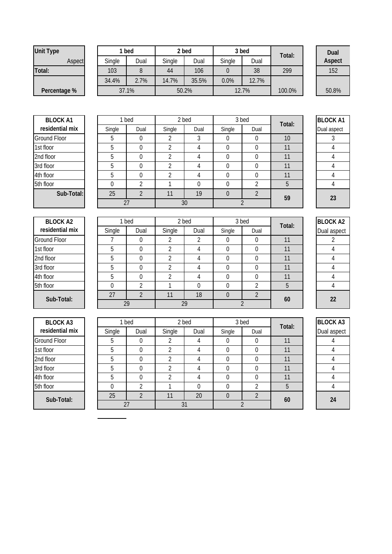| Unit Type    |        | 1 bed |        | 2 bed |        | 3 bed | Total: | Dua  |
|--------------|--------|-------|--------|-------|--------|-------|--------|------|
| Aspect       | Single | Dual  | Single | Dual  | Single | Dual  |        | Aspe |
| Total:       | 103    |       | 44     | 106   |        | 38    | 299    | 152  |
|              | 34.4%  | 2.7%  | 14.7%  | 35.5% | 0.0%   | 12.7% |        |      |
| Percentage % |        | 37.1% |        | 50.2% |        | 12.7% | 100.0% | 50.8 |
|              |        |       |        |       |        |       |        |      |

**Dual Aspect** 50.8%

| <b>BLOCK A1</b>     |
|---------------------|
| residential mix     |
| <b>Ground Floor</b> |
| 1st floor           |
| 2nd floor           |
| 3rd floor           |
| 4th floor           |
| 5th floor           |
| Sub-Total           |
|                     |

| <b>BLOCK A1</b> |        | 1 bed |        | 2 bed |        | 3 bed | Total:          | <b>BLOCKA</b> |
|-----------------|--------|-------|--------|-------|--------|-------|-----------------|---------------|
| residential mix | Single | Dual  | Single | Dual  | Single | Dual  |                 | Dual aspect   |
| Ground Floor    | 5      | 0     |        | 3     |        |       | 10 <sup>°</sup> |               |
| 1st floor       | 5      | 0     |        | 4     |        |       | 11              |               |
| 2nd floor       | 5      | 0     |        | 4     |        |       | 11              |               |
| 3rd floor       | 5      | 0     |        | 4     |        |       | 11              |               |
| 4th floor       | 5      | 0     |        | 4     |        |       | 11              |               |
| 5th floor       | 0      |       |        |       |        | ↑     | 5               |               |
| Sub-Total:      | 25     |       | 11     | 19    |        | 2     | 59              | 23            |
|                 |        | 27    |        | 30    |        |       |                 |               |

| otal: | <b>BLOCK A1</b> |
|-------|-----------------|
|       | Dual aspect     |
| 10    | 3               |
| 11    | 4               |
| 11    | 4               |
| 11    | 4               |
| 11    | 4               |
| 5     | 4               |
| 59    | 23              |

|        | 1 bed | 2 bed  |      | 3 bed          |                | Total: | <b>BLOCK A2</b> |
|--------|-------|--------|------|----------------|----------------|--------|-----------------|
| Single | Dual  | Single | Dual | Single<br>Dual |                |        | Dual aspect     |
|        | 0     | ኅ      | 2    |                | 0              | 11     |                 |
| 5      | U     | າ      | 4    |                | 0              | 11     |                 |
| 5      |       |        | 4    |                | 0              | 11     |                 |
| 5      |       | ◠      | 4    |                | 0              | 11     |                 |
| 5      |       | ኅ      | 4    |                | 0              | 11     |                 |
|        |       |        | 0    |                | ኅ              | b      |                 |
| 27     |       |        | 18   |                | $\overline{2}$ | 60     | 22              |
|        | 29    |        | 29   |                |                |        |                 |

| <b>BLOCK A3</b> |        | 1 bed |                | 2 bed |        | 3 bed | Total: | <b>BLOCK A3</b> |
|-----------------|--------|-------|----------------|-------|--------|-------|--------|-----------------|
| residential mix | Single | Dual  | Single         | Dual  | Single | Dual  |        | Dual aspect     |
| Ground Floor    | 5      |       |                | 4     |        |       |        |                 |
| 1st floor       | 5      | 0     | 2              | 4     | 0      | 0     |        |                 |
| 2nd floor       | 5      | 0     | າ              | 4     | 0      |       | 11     |                 |
| 3rd floor       | 5      | 0     | 2              | 4     | 0      | 0     | 11     |                 |
| 4th floor       | 5      |       | $\mathfrak{p}$ |       |        |       |        |                 |
| 5th floor       |        |       |                |       | U      | ົາ    | 5      |                 |
| Sub-Total:      | 25     |       | 11             | 20    | 0      |       | 60     |                 |
|                 |        | 27    |                | 31    |        |       |        | 24              |

|   | Duur           | ∽"yi∾ | uuu |
|---|----------------|-------|-----|
|   | 0              |       |     |
|   | 0              | 0     |     |
|   | 0              | 0     |     |
|   | Ω              | 0     |     |
|   | 0              | Λ     |     |
| ŗ | 2              |       | 0   |
| 6 | $\overline{2}$ |       | 20  |
|   | $\overline{2}$ |       |     |

| <b>BLOCK A3</b> |
|-----------------|
| Dual aspect     |
| 4               |
| 4               |
| 4               |
| 4               |
| 4               |
| 4               |
| 24              |

| BIUUK AI        |
|-----------------|
| residential mix |
| Ground Floor    |
| 1st floor       |
| 2nd floor       |
| 3rd floor       |
| 4th floor       |
| 5th floor       |
| Sub-Total:      |
|                 |
|                 |

| <b>BLOCK A2</b>     |        | 1 bed |        | 2 bed |        | 3 bed | Total: | <b>BLOCK</b> |
|---------------------|--------|-------|--------|-------|--------|-------|--------|--------------|
| residential mix     | Single | Dual  | Single | Dual  | Single | Dual  |        | Dual as      |
| <b>Ground Floor</b> |        | 0     |        |       | O      | U     | 11     | 2            |
| 1st floor           |        | 0     |        | 4     | 0      |       |        | 4            |
| 2nd floor           | 5      | 0     |        |       | 0      |       | 11     | 4            |
| 3rd floor           | 5      | 0     |        | 4     | 0      | 0     | 11     | 4            |
| 4th floor           |        | 0     |        | 4     | 0      | 0     | 11     | 4            |
| 5th floor           |        | ኅ     |        |       | 0      |       | 5      | 4            |
| Sub-Total:          | 27     |       |        | 18    | 0      |       | 60     | 22           |
|                     |        | 29    |        | 29    |        |       |        |              |

| BLOCK A3        |
|-----------------|
| residential mix |
| Ground Floor    |
| 1st floor       |
| 2nd floor       |
| 3rd floor       |
| 4th floor       |
| 5th floor       |
| Sub-Total:      |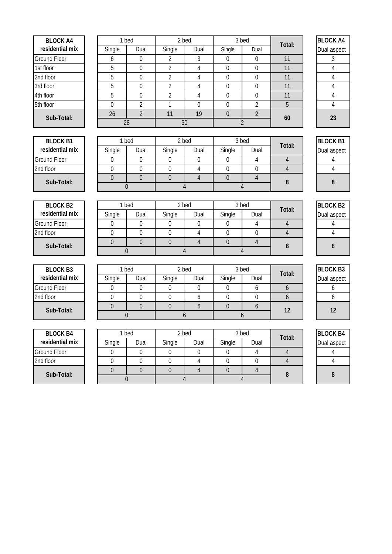| <b>BLOCK A4</b>                    | 1 bed               |                               | 2 bed                  |                  |                                 | 3 bed            |                          | <b>BLOCK A4</b> |
|------------------------------------|---------------------|-------------------------------|------------------------|------------------|---------------------------------|------------------|--------------------------|-----------------|
| residential mix                    | Single              | Dual                          | Single                 | Dual             | Single                          | Dual             | Total:                   | Dual aspect     |
| <b>Ground Floor</b>                | 6                   | $\mathbf 0$                   | 2                      | 3                | $\mathbf 0$                     | $\mathbf 0$      | 11                       | 3               |
| 1st floor                          | 5                   | $\mathbf 0$                   | 2                      | $\overline{4}$   | $\mathbf 0$                     | $\mathbf 0$      | 11                       | $\overline{4}$  |
| 2nd floor                          | 5                   | $\mathbf 0$                   | $\overline{2}$         | $\overline{4}$   | 0                               | $\mathbf 0$      | 11                       | $\overline{4}$  |
| 3rd floor                          | 5                   | $\mathbf 0$                   | $\overline{2}$         | 4                | 0                               | 0                | 11                       | 4               |
| 4th floor                          | 5                   | $\mathbf 0$                   | $\overline{2}$         | $\overline{4}$   | $\boldsymbol{0}$                | 0                | 11                       | 4               |
| 5th floor                          | $\mathbf 0$         | $\overline{2}$                | $\mathbf{1}$           | $\mathbf 0$      | 0                               | $\overline{2}$   | 5                        | $\overline{4}$  |
| Sub-Total:                         | 26                  | $\overline{2}$                | 11                     | 19               | $\overline{0}$                  | $\overline{2}$   | 60                       | 23              |
|                                    |                     | 28                            |                        | 30               |                                 | $\overline{2}$   |                          |                 |
|                                    |                     |                               |                        |                  |                                 |                  |                          |                 |
| <b>BLOCK B1</b>                    | 1 bed               |                               |                        | 2 bed            |                                 | 3 bed            | Total:                   | <b>BLOCK B1</b> |
| residential mix                    | Single              | Dual                          | Single                 | Dual             | Single                          | Dual             |                          | Dual aspect     |
| <b>Ground Floor</b>                | 0                   | $\mathbf 0$                   | 0                      | $\boldsymbol{0}$ | $\boldsymbol{0}$                | 4                | 4                        | 4               |
| 2nd floor                          | 0                   | $\mathbf 0$                   | $\boldsymbol{0}$       | 4                | $\boldsymbol{0}$                | $\mathbf 0$      | $\overline{4}$           | $\overline{4}$  |
| Sub-Total:                         | $\overline{0}$      | $\overline{0}$                | $\Omega$               | $\overline{4}$   | $\overline{0}$                  | $\overline{4}$   | 8                        | 8               |
|                                    | $\overline{0}$      |                               |                        | $\overline{4}$   |                                 | $\overline{4}$   |                          |                 |
|                                    |                     |                               |                        |                  |                                 |                  |                          |                 |
| <b>BLOCK B2</b>                    | 1 bed               |                               | 2 bed                  |                  |                                 | 3 bed            | Total:                   | <b>BLOCK B2</b> |
| residential mix                    | Single              | Dual                          | Single                 | Dual             | Single                          | Dual             |                          | Dual aspect     |
| <b>Ground Floor</b>                | 0                   | 0                             | $\boldsymbol{0}$       | $\boldsymbol{0}$ | 0                               | 4                | 4                        | 4               |
| 2nd floor                          | 0                   | $\mathbf 0$                   | $\boldsymbol{0}$       | $\overline{4}$   | $\boldsymbol{0}$                | $\mathbf 0$      | $\overline{4}$           | 4               |
| Sub-Total:                         | $\overline{0}$      | $\overline{0}$                | $\mathbf{0}$           | $\overline{4}$   | $\overline{0}$                  | $\overline{4}$   | 8                        | 8               |
|                                    |                     | $\mathbf 0$                   |                        | 4                |                                 | 4                |                          |                 |
|                                    |                     |                               |                        |                  |                                 |                  |                          |                 |
| <b>BLOCK B3</b><br>residential mix | 1 bed               |                               | 2 bed                  |                  |                                 | 3 bed            | Total:                   | <b>BLOCK B3</b> |
|                                    | Single              | Dual                          | Single                 | Dual             | Single                          | Dual             |                          | Dual aspect     |
| <b>Ground Floor</b>                | 0                   | $\boldsymbol{0}$              | $\boldsymbol{0}$       | $\mathbf 0$      | $\boldsymbol{0}$                | 6                | 6                        | 6               |
| 2nd floor                          | 0<br>$\overline{0}$ | $\mathbf 0$<br>$\overline{0}$ | $\pmb{0}$<br>$\pmb{0}$ | 6<br>6           | $\boldsymbol{0}$<br>$\mathbf 0$ | $\mathbf 0$      | 6                        | 6               |
| Sub-Total:                         | $\boldsymbol{0}$    |                               |                        | 6                |                                 | 6<br>6           | 12                       | 12              |
|                                    |                     |                               |                        |                  |                                 |                  |                          |                 |
| <b>BLOCK B4</b>                    | 1 bed               |                               |                        | 2 bed            |                                 | 3 bed            |                          | <b>BLOCK B4</b> |
| residential mix                    | Single              | Dual                          | Single                 | Dual             | Single                          | Dual             | Total:                   | Dual aspect     |
| Ground Floor                       | $\mathbf 0$         | $\boldsymbol{0}$              | 0                      | $\boldsymbol{0}$ | 0                               | 4                | $\overline{\mathcal{L}}$ | 4               |
| 2nd floor                          | $\boldsymbol{0}$    | $\boldsymbol{0}$              | $\boldsymbol{0}$       | $\overline{4}$   | $\boldsymbol{0}$                | $\boldsymbol{0}$ | $\overline{4}$           | $\overline{4}$  |
|                                    | $\boldsymbol{0}$    | $\pmb{0}$                     | $\boldsymbol{0}$       | $\overline{4}$   | $\boldsymbol{0}$                | $\overline{4}$   |                          |                 |
| Sub-Total:                         | $\boldsymbol{0}$    |                               |                        | $\overline{4}$   |                                 | 4                | 8                        | $\, 8$          |
|                                    |                     |                               |                        |                  |                                 |                  |                          |                 |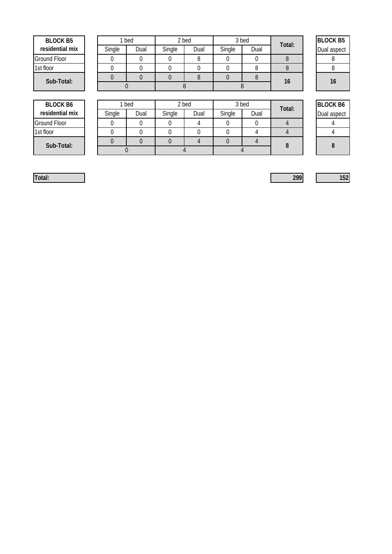| BI OCK B5           |  |
|---------------------|--|
| residential mix     |  |
| <b>Ground Floor</b> |  |
| 1st floor           |  |
| Sub-Total:          |  |

| <b>BLOCK B5</b> |        | bed  |        | 2 bed |        | 3 bed | Total: | <b>BLOCK B5</b> |
|-----------------|--------|------|--------|-------|--------|-------|--------|-----------------|
| residential mix | Single | Dual | Single | Dual  | Single | Dual  |        | Dual aspect     |
| Ground Floor    |        |      |        |       |        |       |        |                 |
| 1st floor       |        |      |        |       |        |       |        |                 |
| Sub-Total:      |        |      |        |       |        |       | 16     | 16              |
|                 |        |      |        |       |        |       |        |                 |

| <b>BLOCK B5</b> |
|-----------------|
| Dual aspect     |
| 8               |
| 8               |
| 16              |

**BLOCK B6 residential mix**

Single | Dual | Single | Dual | Single | Dual | Dual | Dual aspect Ground Floor 0 0 0 4 0 0 4 4 1st floor 0 0 0 0 0 4 4 4 0 0 0 4 0 4 **Sub-Total: 8 8** 0 4 1 bed 2 bed 3 bed 1 ped 2 bed 2 bed 2 bed 2 bed 2 bed 2 bed 2 bed 2 bed 2 bed 2 bed 2 bed 2 bed 2 bed 2 bed 2 bed 2 bed 2 bed 2 bed 2 bed 2 bed 2 bed 2 bed 2 bed 2 bed 2 bed 2 bed 2 bed 2 bed 2 bed 2 bed 2 bed 2 bed 2 bed 3 bed 4

**Total: 299 152**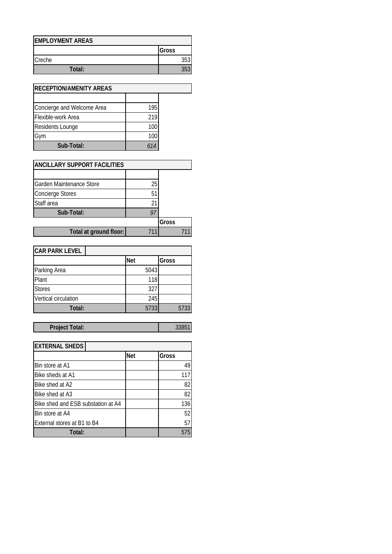| <b>EMPLOYMENT AREAS</b> |       |
|-------------------------|-------|
|                         | Gross |
| <b>Creche</b>           | 353   |
| Total:                  | 353   |

| <b>RECEPTION/AMENITY AREAS</b> |     |  |
|--------------------------------|-----|--|
|                                |     |  |
| Concierge and Welcome Area     | 195 |  |
| Flexible-work Area             | 219 |  |
| <b>Residents Lounge</b>        | 100 |  |
| Gym                            | 100 |  |
| Sub-Total:                     | 614 |  |

| <b>ANCILLARY SUPPORT FACILITIES</b> |    |       |  |
|-------------------------------------|----|-------|--|
|                                     |    |       |  |
| <b>Garden Maintenance Store</b>     | 25 |       |  |
| <b>Concierge Stores</b>             | 51 |       |  |
| Staff area                          |    |       |  |
| Sub-Total:                          | 97 |       |  |
|                                     |    | Gross |  |
| Total at ground floor:              |    |       |  |

| <b>CAR PARK LEVEL</b> |            |       |
|-----------------------|------------|-------|
|                       | <b>Net</b> | Gross |
| Parking Area          | 5043       |       |
| Plant                 | 118        |       |
| <b>Stores</b>         | 327        |       |
| Vertical circulation  | 245        |       |
| Total:                | 5733       | 5733  |

## Project Total: 33851

| <b>EXTERNAL SHEDS</b>              |            |       |
|------------------------------------|------------|-------|
|                                    | <b>Net</b> | Gross |
| Bin store at A1                    |            | 49    |
| Bike sheds at A1                   |            | 117   |
| Bike shed at A2                    |            | 82    |
| Bike shed at A3                    |            | 82    |
| Bike shed and ESB substation at A4 |            | 136   |
| Bin store at A4                    |            | 52    |
| External stores at B1 to B4        |            | 57    |
| Total:                             |            |       |